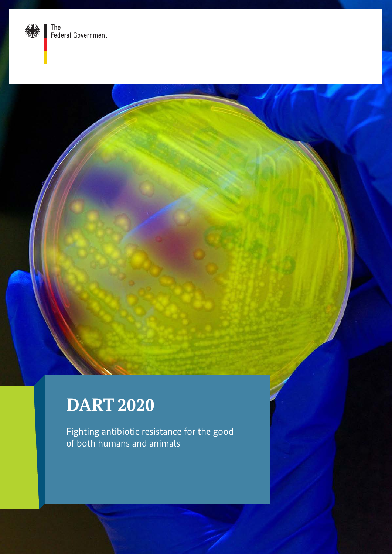

# **DART 2020**

Fighting antibiotic resistance for the good of both humans and animals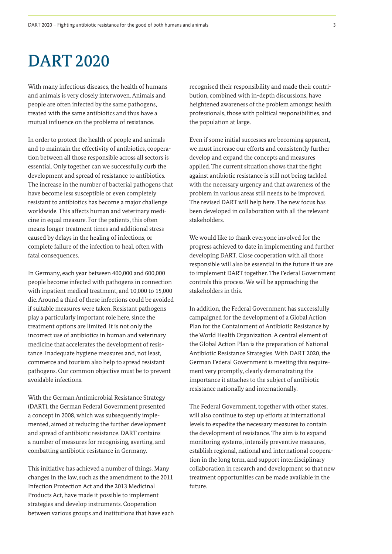# DART 2020

With many infectious diseases, the health of humans and animals is very closely interwoven. Animals and people are often infected by the same pathogens, treated with the same antibiotics and thus have a mutual influence on the problems of resistance.

In order to protect the health of people and animals and to maintain the effectivity of antibiotics, cooperation between all those responsible across all sectors is essential. Only together can we successfully curb the development and spread of resistance to antibiotics. The increase in the number of bacterial pathogens that have become less susceptible or even completely resistant to antibiotics has become a major challenge worldwide. This affects human and veterinary medicine in equal measure. For the patients, this often means longer treatment times and additional stress caused by delays in the healing of infections, or complete failure of the infection to heal, often with fatal consequences.

In Germany, each year between 400,000 and 600,000 people become infected with pathogens in connection with inpatient medical treatment, and 10,000 to 15,000 die. Around a third of these infections could be avoided if suitable measures were taken. Resistant pathogens play a particularly important role here, since the treatment options are limited. It is not only the incorrect use of antibiotics in human and veterinary medicine that accelerates the development of resistance. Inadequate hygiene measures and, not least, commerce and tourism also help to spread resistant pathogens. Our common objective must be to prevent avoidable infections.

With the German Antimicrobial Resistance Strategy (DART), the German Federal Government presented a concept in 2008, which was subsequently implemented, aimed at reducing the further development and spread of antibiotic resistance. DART contains a number of measures for recognising, averting, and combatting antibiotic resistance in Germany.

This initiative has achieved a number of things. Many changes in the law, such as the amendment to the 2011 Infection Protection Act and the 2013 Medicinal Products Act, have made it possible to implement strategies and develop instruments. Cooperation between various groups and institutions that have each recognised their responsibility and made their contribution, combined with in-depth discussions, have heightened awareness of the problem amongst health professionals, those with political responsibilities, and the population at large.

Even if some initial successes are becoming apparent, we must increase our efforts and consistently further develop and expand the concepts and measures applied. The current situation shows that the fight against antibiotic resistance is still not being tackled with the necessary urgency and that awareness of the problem in various areas still needs to be improved. The revised DART will help here. The new focus has been developed in collaboration with all the relevant stakeholders.

We would like to thank everyone involved for the progress achieved to date in implementing and further developing DART. Close cooperation with all those responsible will also be essential in the future if we are to implement DART together. The Federal Government controls this process. We will be approaching the stakeholders in this.

In addition, the Federal Government has successfully campaigned for the development of a Global Action Plan for the Containment of Antibiotic Resistance by the World Health Organization. A central element of the Global Action Plan is the preparation of National Antibiotic Resistance Strategies. With DART 2020, the German Federal Government is meeting this requirement very promptly, clearly demonstrating the importance it attaches to the subject of antibiotic resistance nationally and internationally.

The Federal Government, together with other states, will also continue to step up efforts at international levels to expedite the necessary measures to contain the development of resistance. The aim is to expand monitoring systems, intensify preventive measures, establish regional, national and international cooperation in the long term, and support interdisciplinary collaboration in research and development so that new treatment opportunities can be made available in the future.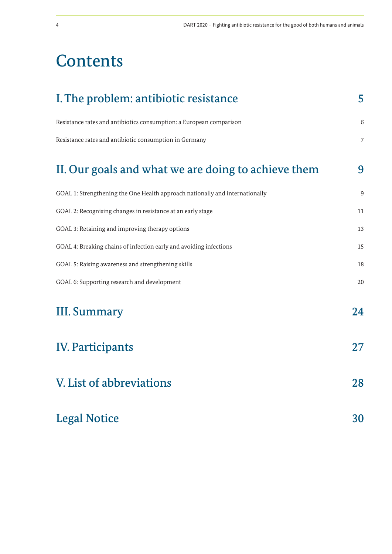# **Contents**

| I. The problem: antibiotic resistance                                        |    |  |  |
|------------------------------------------------------------------------------|----|--|--|
| Resistance rates and antibiotics consumption: a European comparison          | 6  |  |  |
| Resistance rates and antibiotic consumption in Germany                       | 7  |  |  |
| II. Our goals and what we are doing to achieve them                          | 9  |  |  |
| GOAL 1: Strengthening the One Health approach nationally and internationally | 9  |  |  |
| GOAL 2: Recognising changes in resistance at an early stage                  | 11 |  |  |
| GOAL 3: Retaining and improving therapy options                              | 13 |  |  |
| GOAL 4: Breaking chains of infection early and avoiding infections           | 15 |  |  |
| GOAL 5: Raising awareness and strengthening skills                           | 18 |  |  |
| GOAL 6: Supporting research and development                                  | 20 |  |  |
| <b>III. Summary</b>                                                          | 24 |  |  |
| <b>IV. Participants</b>                                                      | 27 |  |  |
| V. List of abbreviations                                                     | 28 |  |  |
| <b>Legal Notice</b>                                                          | 30 |  |  |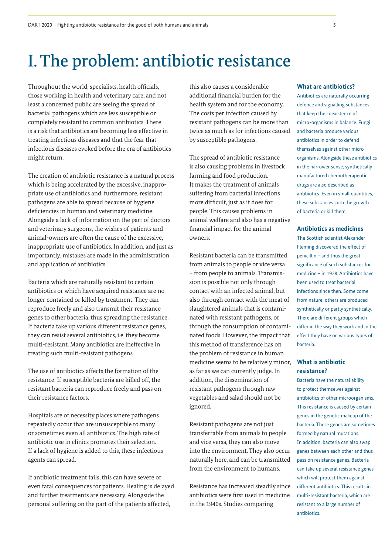# I. The problem: antibiotic resistance

Throughout the world, specialists, health officials, those working in health and veterinary care, and not least a concerned public are seeing the spread of bacterial pathogens which are less susceptible or completely resistant to common antibiotics. There is a risk that antibiotics are becoming less effective in treating infectious diseases and that the fear that infectious diseases evoked before the era of antibiotics might return.

The creation of antibiotic resistance is a natural process which is being accelerated by the excessive, inappropriate use of antibiotics and, furthermore, resistant pathogens are able to spread because of hygiene deficiencies in human and veterinary medicine. Alongside a lack of information on the part of doctors and veterinary surgeons, the wishes of patients and animal-owners are often the cause of the excessive, inappropriate use of antibiotics. In addition, and just as importantly, mistakes are made in the administration and application of antibiotics.

Bacteria which are naturally resistant to certain antibiotics or which have acquired resistance are no longer contained or killed by treatment. They can reproduce freely and also transmit their resistance genes to other bacteria, thus spreading the resistance. If bacteria take up various different resistance genes, they can resist several antibiotics, i.e. they become multi-resistant. Many antibiotics are ineffective in treating such multi-resistant pathogens.

The use of antibiotics affects the formation of the resistance: If susceptible bacteria are killed off, the resistant bacteria can reproduce freely and pass on their resistance factors.

Hospitals are of necessity places where pathogens repeatedly occur that are unsusceptible to many or sometimes even all antibiotics. The high rate of antibiotic use in clinics promotes their selection. If a lack of hygiene is added to this, these infectious agents can spread.

If antibiotic treatment fails, this can have severe or even fatal consequences for patients. Healing is delayed and further treatments are necessary. Alongside the personal suffering on the part of the patients affected,

this also causes a considerable additional financial burden for the health system and for the economy. The costs per infection caused by resistant pathogens can be more than twice as much as for infections caused by susceptible pathogens.

The spread of antibiotic resistance is also causing problems in livestock farming and food production. It makes the treatment of animals suffering from bacterial infections more difficult, just as it does for people. This causes problems in animal welfare and also has a negative financial impact for the animal owners.

Resistant bacteria can be transmitted from animals to people or vice versa – from people to animals. Transmission is possible not only through contact with an infected animal, but also through contact with the meat of slaughtered animals that is contaminated with resistant pathogens, or through the consumption of contaminated foods. However, the impact that this method of transference has on the problem of resistance in human medicine seems to be relatively minor, as far as we can currently judge. In addition, the dissemination of resistant pathogens through raw vegetables and salad should not be ignored.

Resistant pathogens are not just transferrable from animals to people and vice versa, they can also move into the environment. They also occur naturally here, and can be transmitted from the environment to humans.

Resistance has increased steadily since antibiotics were first used in medicine in the 1940s. Studies comparing

#### **What are antibiotics?**

Antibiotics are naturally occurring defence and signalling substances that keep the coexistence of micro-organisms in balance. Fungi and bacteria produce various antibiotics in order to defend themselves against other microorganisms. Alongside these antibiotics in the narrower sense, synthetically manufactured chemotherapeutic drugs are also described as antibiotics. Even in small quantities, these substances curb the growth of bacteria or kill them.

#### **Antibiotics as medicines**

The Scottish scientist Alexander Fleming discovered the effect of penicillin – and thus the great significance of such substances for medicine – in 1928. Antibiotics have been used to treat bacterial infections since then. Some come from nature, others are produced synthetically or partly synthetically. There are different groups which differ in the way they work and in the effect they have on various types of bacteria.

### **What is antibiotic resistance?**

Bacteria have the natural ability to protect themselves against antibiotics of other microorganisms. This resistance is caused by certain genes in the genetic makeup of the bacteria. These genes are sometimes formed by natural mutations. In addition, bacteria can also swap genes between each other and thus pass on resistance genes. Bacteria can take up several resistance genes which will protect them against different antibiotics. This results in multi-resistant bacteria, which are resistant to a large number of antibiotics.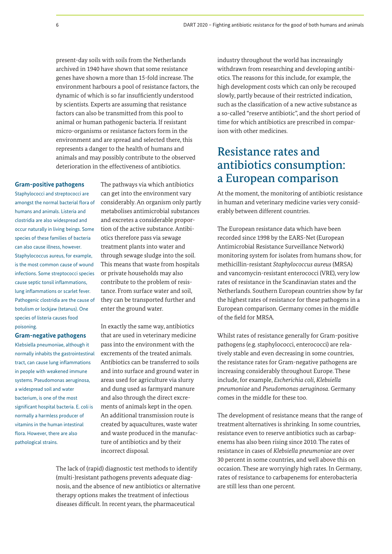present-day soils with soils from the Netherlands archived in 1940 have shown that some resistance genes have shown a more than 15-fold increase. The environment harbours a pool of resistance factors, the dynamic of which is so far insufficiently understood by scientists. Experts are assuming that resistance factors can also be transmitted from this pool to animal or human pathogenic bacteria. If resistant micro-organisms or resistance factors form in the environment and are spread and selected there, this represents a danger to the health of humans and animals and may possibly contribute to the observed deterioration in the effectiveness of antibiotics.

#### **Gram-positive pathogens**

Staphylococci and streptococci are amongst the normal bacterial flora of humans and animals. Listeria and clostridia are also widespread and occur naturally in living beings. Some species of these families of bacteria can also cause illness, however. Staphylococcus aureus, for example, is the most common cause of wound infections. Some streptococci species cause septic tonsil inflammations, lung inflammations or scarlet fever. Pathogenic clostridia are the cause of botulism or lockjaw (tetanus). One species of listeria causes food poisoning.

#### **Gram-negative pathogens**

Klebsiella pneumoniae, although it normally inhabits the gastrointestinal tract, can cause lung inflammations in people with weakened immune systems. Pseudomonas aeruginosa, a widespread soil and water bacterium, is one of the most significant hospital bacteria. E. coli is normally a harmless producer of vitamins in the human intestinal flora. However, there are also pathological strains.

The pathways via which antibiotics can get into the environment vary considerably. An organism only partly metabolises antimicrobial substances and excretes a considerable proportion of the active substance. Antibiotics therefore pass via sewage treatment plants into water and through sewage sludge into the soil. This means that waste from hospitals or private households may also contribute to the problem of resistance. From surface water and soil, they can be transported further and enter the ground water.

In exactly the same way, antibiotics that are used in veterinary medicine pass into the environment with the excrements of the treated animals. Antibiotics can be transferred to soils and into surface and ground water in areas used for agriculture via slurry and dung used as farmyard manure and also through the direct excrements of animals kept in the open. An additional transmission route is created by aquacultures, waste water and waste produced in the manufacture of antibiotics and by their incorrect disposal.

The lack of (rapid) diagnostic test methods to identify (multi-)resistant pathogens prevents adequate diagnosis, and the absence of new antibiotics or alternative therapy options makes the treatment of infectious diseases difficult. In recent years, the pharmaceutical

industry throughout the world has increasingly withdrawn from researching and developing antibiotics. The reasons for this include, for example, the high development costs which can only be recouped slowly, partly because of their restricted indication, such as the classification of a new active substance as a so-called "reserve antibiotic", and the short period of time for which antibiotics are prescribed in comparison with other medicines.

# Resistance rates and antibiotics consumption: a European comparison

At the moment, the monitoring of antibiotic resistance in human and veterinary medicine varies very considerably between different countries.

The European resistance data which have been recorded since 1998 by the EARS-Net (European Antimicrobial Resistance Surveillance Network) monitoring system for isolates from humans show, for methicillin-resistant *Staphylococcus aureus* (MRSA) and vancomycin-resistant enterococci (VRE), very low rates of resistance in the Scandinavian states and the Netherlands. Southern European countries show by far the highest rates of resistance for these pathogens in a European comparison. Germany comes in the middle of the field for MRSA.

Whilst rates of resistance generally for Gram-positive pathogens (e.g. staphylococci, enterococci) are relatively stable and even decreasing in some countries, the resistance rates for Gram-negative pathogens are increasing considerably throughout Europe. These include, for example, *Escherichia coli*, *Klebsiella pneumoniae* and *Pseudomonas aeruginosa*. Germany comes in the middle for these too.

The development of resistance means that the range of treatment alternatives is shrinking. In some countries, resistance even to reserve antibiotics such as carbapenems has also been rising since 2010. The rates of resistance in cases of *Klebsiella pneumoniae* are over 30 percent in some countries, and well above this on occasion. These are worryingly high rates. In Germany, rates of resistance to carbapenems for enterobacteria are still less than one percent.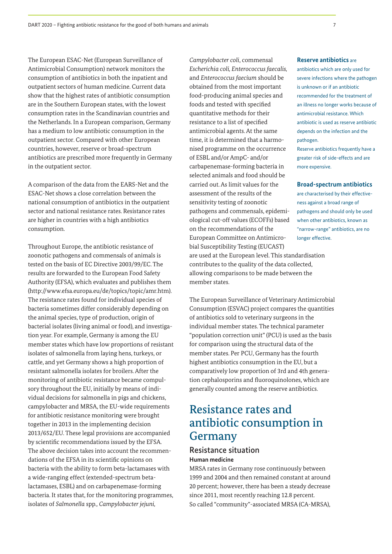The European ESAC-Net (European Surveillance of Antimicrobial Consumption) network monitors the consumption of antibiotics in both the inpatient and outpatient sectors of human medicine. Current data show that the highest rates of antibiotic consumption are in the Southern European states, with the lowest consumption rates in the Scandinavian countries and the Netherlands. In a European comparison, Germany has a medium to low antibiotic consumption in the outpatient sector. Compared with other European countries, however, reserve or broad-spectrum antibiotics are prescribed more frequently in Germany in the outpatient sector.

A comparison of the data from the EARS-Net and the ESAC-Net shows a close correlation between the national consumption of antibiotics in the outpatient sector and national resistance rates. Resistance rates are higher in countries with a high antibiotics consumption.

Throughout Europe, the antibiotic resistance of zoonotic pathogens and commensals of animals is tested on the basis of EC Directive 2003/99/EC. The results are forwarded to the European Food Safety Authority (EFSA), which evaluates and publishes them (http://www.efsa.europa.eu/de/topics/topic/amr.htm). The resistance rates found for individual species of bacteria sometimes differ considerably depending on the animal species, type of production, origin of bacterial isolates (living animal or food), and investigation year. For example, Germany is among the EU member states which have low proportions of resistant isolates of salmonella from laying hens, turkeys, or cattle, and yet Germany shows a high proportion of resistant salmonella isolates for broilers. After the monitoring of antibiotic resistance became compulsory throughout the EU, initially by means of individual decisions for salmonella in pigs and chickens, campylobacter and MRSA, the EU-wide requirements for antibiotic resistance monitoring were brought together in 2013 in the implementing decision 2013/652/EU. These legal provisions are accompanied by scientific recommendations issued by the EFSA. The above decision takes into account the recommendations of the EFSA in its scientific opinions on bacteria with the ability to form beta-lactamases with a wide-ranging effect (extended-spectrum betalactamases, ESBL) and on carbapenemase-forming bacteria. It states that, for the monitoring programmes, isolates of *Salmonella* spp*., Campylobacter jejuni,* 

*Campylobacter coli*, commensal *Escherichia coli, Enterococcus faecalis,*  and *Enterococcus faecium* should be obtained from the most important food-producing animal species and foods and tested with specified quantitative methods for their resistance to a list of specified antimicrobial agents. At the same time, it is determined that a harmonised programme on the occurrence of ESBL and/or AmpC- and/or carbapenemase-forming bacteria in selected animals and food should be carried out. As limit values for the assessment of the results of the sensitivity testing of zoonotic pathogens and commensals, epidemiological cut-off values (ECOFFs) based on the recommendations of the European Committee on Antimicrobial Susceptibility Testing (EUCAST)

are used at the European level. This standardisation contributes to the quality of the data collected, allowing comparisons to be made between the member states.

The European Surveillance of Veterinary Antimicrobial Consumption (ESVAC) project compares the quantities of antibiotics sold to veterinary surgeons in the individual member states. The technical parameter "population correction unit" (PCU) is used as the basis for comparison using the structural data of the member states. Per PCU, Germany has the fourth highest antibiotics consumption in the EU, but a comparatively low proportion of 3rd and 4th generation cephalosporins and fluoroquinolones, which are generally counted among the reserve antibiotics.

# Resistance rates and antibiotic consumption in Germany

# Resistance situation **Human medicine**

MRSA rates in Germany rose continuously between 1999 and 2004 and then remained constant at around 20 percent; however, there has been a steady decrease since 2011, most recently reaching 12.8 percent. So called "community"-associated MRSA (CA-MRSA),

antibiotics which are only used for severe infections where the pathogen is unknown or if an antibiotic recommended for the treatment of an illness no longer works because of antimicrobial resistance. Which antibiotic is used as reserve antibiotic depends on the infection and the pathogen.

Reserve antibiotics frequently have a greater risk of side-effects and are more expensive.

#### **Broad-spectrum antibiotics**

are characterised by their effectiveness against a broad range of pathogens and should only be used when other antibiotics, known as "narrow-range" antibiotics, are no longer effective.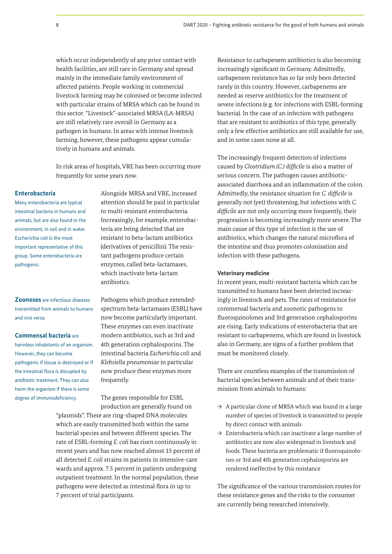which occur independently of any prior contact with health facilities, are still rare in Germany and spread mainly in the immediate family environment of affected patients. People working in commercial livestock farming may be colonised or become infected with particular strains of MRSA which can be found in this sector. "Livestock"-associated MRSA (LA-MRSA) are still relatively rare overall in Germany as a pathogen in humans. In areas with intense livestock farming, however, these pathogens appear cumulatively in humans and animals.

In risk areas of hospitals, VRE has been occurring more frequently for some years now.

#### **Enterobacteria**

Many enterobacteria are typical intestinal bacteria in humans and animals, but are also found in the environment, in soil and in water. Escherichia coli is the most important representative of this group. Some enterobacteria are pathogenic.

**Zoonoses** are infectious diseases transmitted from animals to humans and vice versa.

#### **Commensal bacteria** are

harmless inhabitants of an organism. However, they can become pathogenic if tissue is destroyed or if the intestinal flora is disrupted by antibiotic treatment. They can also harm the organism if there is some degree of immunodeficiency.

Alongside MRSA and VRE, increased attention should be paid in particular to multi-resistant enterobacteria. Increasingly, for example, enterobacteria are being detected that are resistant to beta-lactam antibiotics (derivatives of penicillin). The resistant pathogens produce certain enzymes, called beta-lactamases, which inactivate beta-lactam antibiotics.

Pathogens which produce extendedspectrum beta-lactamases (ESBL) have now become particularly important. These enzymes can even inactivate modern antibiotics, such as 3rd and 4th generation cephalosporins. The intestinal bacteria *Escherichia coli* and *Klebsiella pneumoniae* in particular now produce these enzymes more frequently.

The genes responsible for ESBL production are generally found on "plasmids". These are ring-shaped DNA molecules which are easily transmitted both within the same bacterial species and between different species. The rate of ESBL-forming *E. coli* has risen continuously in recent years and has now reached almost 15 percent of all detected *E. coli* strains in patients in intensive-care wards and approx. 7.5 percent in patients undergoing outpatient treatment. In the normal population, these pathogens were detected as intestinal flora in up to 7 percent of trial participants.

Resistance to carbapenem antibiotics is also becoming increasingly significant in Germany. Admittedly, carbapenem resistance has so far only been detected rarely in this country. However, carbapenems are needed as reserve antibiotics for the treatment of severe infections (e.g. for infections with ESBL-forming bacteria). In the case of an infection with pathogens that are resistant to antibiotics of this type, generally only a few effective antibiotics are still available for use, and in some cases none at all.

The increasingly frequent detection of infections caused by *Clostridium (C.) difficile* is also a matter of serious concern. The pathogen causes antibioticassociated diarrhoea and an inflammation of the colon. Admittedly, the resistance situation for *C. difficile* is generally not (yet) threatening, but infections with *C. difficile* are not only occurring more frequently, their progression is becoming increasingly more severe. The main cause of this type of infection is the use of antibiotics, which changes the natural microflora of the intestine and thus promotes colonisation and infection with these pathogens.

#### **Veterinary medicine**

In recent years, multi-resistant bacteria which can be transmitted to humans have been detected increasingly in livestock and pets. The rates of resistance for commensal bacteria and zoonotic pathogens to fluoroquinolones and 3rd generation cephalosporins are rising. Early indications of enterobacteria that are resistant to carbapenems, which are found in livestock also in Germany, are signs of a further problem that must be monitored closely.

There are countless examples of the transmission of bacterial species between animals and of their transmission from animals to humans:

- $\rightarrow$  A particular clone of MRSA which was found in a large number of species of livestock is transmitted to people by direct contact with animals
- $\rightarrow$  Enterobacteria which can inactivate a large number of antibiotics are now also widespread in livestock and foods. These bacteria are problematic if fluoroquinolones or 3rd and 4th generation cephalosporins are rendered ineffective by this resistance

The significance of the various transmission routes for these resistance genes and the risks to the consumer are currently being researched intensively.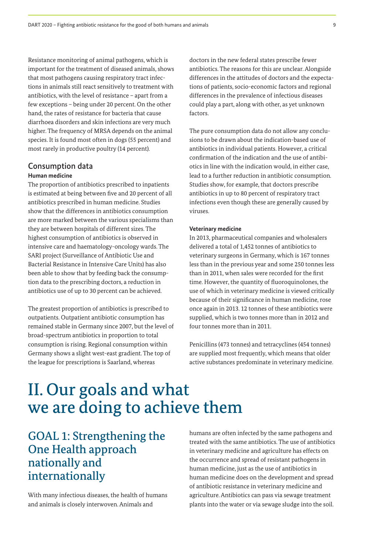Resistance monitoring of animal pathogens, which is important for the treatment of diseased animals, shows that most pathogens causing respiratory tract infections in animals still react sensitively to treatment with antibiotics, with the level of resistance – apart from a few exceptions – being under 20 percent. On the other hand, the rates of resistance for bacteria that cause diarrhoea disorders and skin infections are very much higher. The frequency of MRSA depends on the animal species. It is found most often in dogs (55 percent) and most rarely in productive poultry (14 percent).

## Consumption data

#### **Human medicine**

The proportion of antibiotics prescribed to inpatients is estimated at being between five and 20 percent of all antibiotics prescribed in human medicine. Studies show that the differences in antibiotics consumption are more marked between the various specialisms than they are between hospitals of different sizes. The highest consumption of antibiotics is observed in intensive care and haematology-oncology wards. The SARI project (Surveillance of Antibiotic Use and Bacterial Resistance in Intensive Care Units) has also been able to show that by feeding back the consumption data to the prescribing doctors, a reduction in antibiotics use of up to 30 percent can be achieved.

The greatest proportion of antibiotics is prescribed to outpatients. Outpatient antibiotic consumption has remained stable in Germany since 2007, but the level of broad-spectrum antibiotics in proportion to total consumption is rising. Regional consumption within Germany shows a slight west-east gradient. The top of the league for prescriptions is Saarland, whereas

doctors in the new federal states prescribe fewer antibiotics. The reasons for this are unclear. Alongside differences in the attitudes of doctors and the expectations of patients, socio-economic factors and regional differences in the prevalence of infectious diseases could play a part, along with other, as yet unknown factors.

The pure consumption data do not allow any conclusions to be drawn about the indication-based use of antibiotics in individual patients. However, a critical confirmation of the indication and the use of antibiotics in line with the indication would, in either case, lead to a further reduction in antibiotic consumption. Studies show, for example, that doctors prescribe antibiotics in up to 80 percent of respiratory tract infections even though these are generally caused by viruses.

#### **Veterinary medicine**

In 2013, pharmaceutical companies and wholesalers delivered a total of 1,452 tonnes of antibiotics to veterinary surgeons in Germany, which is 167 tonnes less than in the previous year and some 250 tonnes less than in 2011, when sales were recorded for the first time. However, the quantity of fluoroquinolones, the use of which in veterinary medicine is viewed critically because of their significance in human medicine, rose once again in 2013. 12 tonnes of these antibiotics were supplied, which is two tonnes more than in 2012 and four tonnes more than in 2011.

Penicillins (473 tonnes) and tetracyclines (454 tonnes) are supplied most frequently, which means that older active substances predominate in veterinary medicine.

# II. Our goals and what we are doing to achieve them

# GOAL 1: Strengthening the One Health approach nationally and internationally

With many infectious diseases, the health of humans and animals is closely interwoven. Animals and

humans are often infected by the same pathogens and treated with the same antibiotics. The use of antibiotics in veterinary medicine and agriculture has effects on the occurrence and spread of resistant pathogens in human medicine, just as the use of antibiotics in human medicine does on the development and spread of antibiotic resistance in veterinary medicine and agriculture. Antibiotics can pass via sewage treatment plants into the water or via sewage sludge into the soil.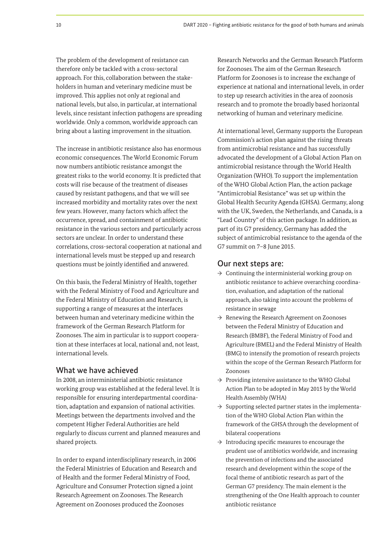The problem of the development of resistance can therefore only be tackled with a cross-sectoral approach. For this, collaboration between the stakeholders in human and veterinary medicine must be improved. This applies not only at regional and national levels, but also, in particular, at international levels, since resistant infection pathogens are spreading worldwide. Only a common, worldwide approach can bring about a lasting improvement in the situation.

The increase in antibiotic resistance also has enormous economic consequences. The World Economic Forum now numbers antibiotic resistance amongst the greatest risks to the world economy. It is predicted that costs will rise because of the treatment of diseases caused by resistant pathogens, and that we will see increased morbidity and mortality rates over the next few years. However, many factors which affect the occurrence, spread, and containment of antibiotic resistance in the various sectors and particularly across sectors are unclear. In order to understand these correlations, cross-sectoral cooperation at national and international levels must be stepped up and research questions must be jointly identified and answered.

On this basis, the Federal Ministry of Health, together with the Federal Ministry of Food and Agriculture and the Federal Ministry of Education and Research, is supporting a range of measures at the interfaces between human and veterinary medicine within the framework of the German Research Platform for Zoonoses. The aim in particular is to support cooperation at these interfaces at local, national and, not least, international levels.

### What we have achieved

In 2008, an interministerial antibiotic resistance working group was established at the federal level. It is responsible for ensuring interdepartmental coordination, adaptation and expansion of national activities. Meetings between the departments involved and the competent Higher Federal Authorities are held regularly to discuss current and planned measures and shared projects.

In order to expand interdisciplinary research, in 2006 the Federal Ministries of Education and Research and of Health and the former Federal Ministry of Food, Agriculture and Consumer Protection signed a joint Research Agreement on Zoonoses. The Research Agreement on Zoonoses produced the Zoonoses

Research Networks and the German Research Platform for Zoonoses. The aim of the German Research Platform for Zoonoses is to increase the exchange of experience at national and international levels, in order to step up research activities in the area of zoonosis research and to promote the broadly based horizontal networking of human and veterinary medicine.

At international level, Germany supports the European Commission's action plan against the rising threats from antimicrobial resistance and has successfully advocated the development of a Global Action Plan on antimicrobial resistance through the World Health Organization (WHO). To support the implementation of the WHO Global Action Plan, the action package "Antimicrobial Resistance" was set up within the Global Health Security Agenda (GHSA). Germany, along with the UK, Sweden, the Netherlands, and Canada, is a "Lead Country" of this action package. In addition, as part of its G7 presidency, Germany has added the subject of antimicrobial resistance to the agenda of the G7 summit on 7–8 June 2015.

#### Our next steps are:

- $\rightarrow$  Continuing the interministerial working group on antibiotic resistance to achieve overarching coordination, evaluation, and adaptation of the national approach, also taking into account the problems of resistance in sewage
- $\rightarrow$  Renewing the Research Agreement on Zoonoses between the Federal Ministry of Education and Research (BMBF), the Federal Ministry of Food and Agriculture (BMEL) and the Federal Ministry of Health (BMG) to intensify the promotion of research projects within the scope of the German Research Platform for Zoonoses
- $\rightarrow$  Providing intensive assistance to the WHO Global Action Plan to be adopted in May 2015 by the World Health Assembly (WHA)
- $\rightarrow$  Supporting selected partner states in the implementation of the WHO Global Action Plan within the framework of the GHSA through the development of bilateral cooperations
- $\rightarrow$  Introducing specific measures to encourage the prudent use of antibiotics worldwide, and increasing the prevention of infections and the associated research and development within the scope of the focal theme of antibiotic research as part of the German G7 presidency. The main element is the strengthening of the One Health approach to counter antibiotic resistance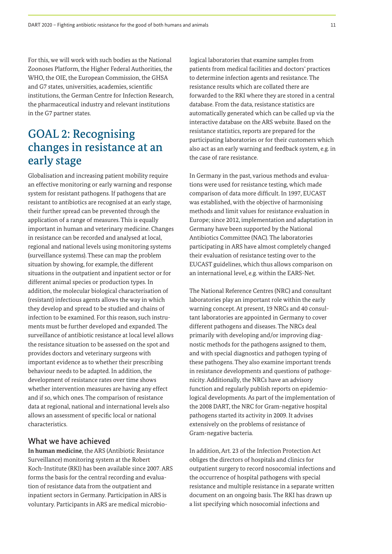For this, we will work with such bodies as the National Zoonoses Platform, the Higher Federal Authorities, the WHO, the OIE, the European Commission, the GHSA and G7 states, universities, academies, scientific institutions, the German Centre for Infection Research, the pharmaceutical industry and relevant institutions in the G7 partner states.

# GOAL 2: Recognising changes in resistance at an early stage

Globalisation and increasing patient mobility require an effective monitoring or early warning and response system for resistant pathogens. If pathogens that are resistant to antibiotics are recognised at an early stage, their further spread can be prevented through the application of a range of measures. This is equally important in human and veterinary medicine. Changes in resistance can be recorded and analysed at local, regional and national levels using monitoring systems (surveillance systems). These can map the problem situation by showing, for example, the different situations in the outpatient and inpatient sector or for different animal species or production types. In addition, the molecular biological characterisation of (resistant) infectious agents allows the way in which they develop and spread to be studied and chains of infection to be examined. For this reason, such instruments must be further developed and expanded. The surveillance of antibiotic resistance at local level allows the resistance situation to be assessed on the spot and provides doctors and veterinary surgeons with important evidence as to whether their prescribing behaviour needs to be adapted. In addition, the development of resistance rates over time shows whether intervention measures are having any effect and if so, which ones. The comparison of resistance data at regional, national and international levels also allows an assessment of specific local or national characteristics.

## What we have achieved

**In human medicine**, the ARS (Antibiotic Resistance Surveillance) monitoring system at the Robert Koch-Institute (RKI) has been available since 2007. ARS forms the basis for the central recording and evaluation of resistance data from the outpatient and inpatient sectors in Germany. Participation in ARS is voluntary. Participants in ARS are medical microbiological laboratories that examine samples from patients from medical facilities and doctors' practices to determine infection agents and resistance. The resistance results which are collated there are forwarded to the RKI where they are stored in a central database. From the data, resistance statistics are automatically generated which can be called up via the interactive database on the ARS website. Based on the resistance statistics, reports are prepared for the participating laboratories or for their customers which also act as an early warning and feedback system, e.g. in the case of rare resistance.

In Germany in the past, various methods and evaluations were used for resistance testing, which made comparison of data more difficult. In 1997, EUCAST was established, with the objective of harmonising methods and limit values for resistance evaluation in Europe; since 2012, implementation and adaptation in Germany have been supported by the National Antibiotics Committee (NAC). The laboratories participating in ARS have almost completely changed their evaluation of resistance testing over to the EUCAST guidelines, which thus allows comparison on an international level, e.g. within the EARS-Net.

The National Reference Centres (NRC) and consultant laboratories play an important role within the early warning concept. At present, 19 NRCs and 40 consultant laboratories are appointed in Germany to cover different pathogens and diseases. The NRCs deal primarily with developing and/or improving diagnostic methods for the pathogens assigned to them, and with special diagnostics and pathogen typing of these pathogens. They also examine important trends in resistance developments and questions of pathogenicity. Additionally, the NRCs have an advisory function and regularly publish reports on epidemiological developments. As part of the implementation of the 2008 DART, the NRC for Gram-negative hospital pathogens started its activity in 2009. It advises extensively on the problems of resistance of Gram-negative bacteria.

In addition, Art. 23 of the Infection Protection Act obliges the directors of hospitals and clinics for outpatient surgery to record nosocomial infections and the occurrence of hospital pathogens with special resistance and multiple resistance in a separate written document on an ongoing basis. The RKI has drawn up a list specifying which nosocomial infections and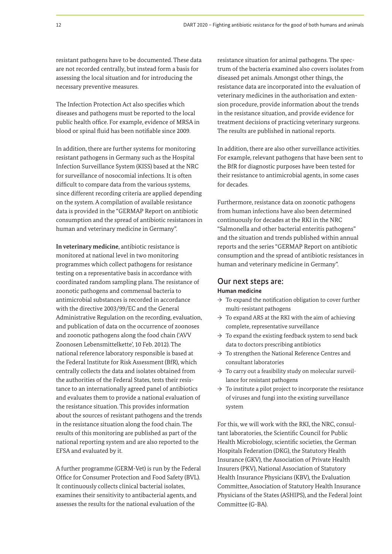resistant pathogens have to be documented. These data are not recorded centrally, but instead form a basis for assessing the local situation and for introducing the necessary preventive measures.

The Infection Protection Act also specifies which diseases and pathogens must be reported to the local public health office. For example, evidence of MRSA in blood or spinal fluid has been notifiable since 2009.

In addition, there are further systems for monitoring resistant pathogens in Germany such as the Hospital Infection Surveillance System (KISS) based at the NRC for surveillance of nosocomial infections. It is often difficult to compare data from the various systems, since different recording criteria are applied depending on the system. A compilation of available resistance data is provided in the "GERMAP Report on antibiotic consumption and the spread of antibiotic resistances in human and veterinary medicine in Germany".

**In veterinary medicine**, antibiotic resistance is monitored at national level in two monitoring programmes which collect pathogens for resistance testing on a representative basis in accordance with coordinated random sampling plans. The resistance of zoonotic pathogens and commensal bacteria to antimicrobial substances is recorded in accordance with the directive 2003/99/EC and the General Administrative Regulation on the recording, evaluation, and publication of data on the occurrence of zoonoses and zoonotic pathogens along the food chain ('AVV Zoonosen Lebensmittelkette', 10 Feb. 2012). The national reference laboratory responsible is based at the Federal Institute for Risk Assessment (BfR), which centrally collects the data and isolates obtained from the authorities of the Federal States, tests their resistance to an internationally agreed panel of antibiotics and evaluates them to provide a national evaluation of the resistance situation. This provides information about the sources of resistant pathogens and the trends in the resistance situation along the food chain. The results of this monitoring are published as part of the national reporting system and are also reported to the EFSA and evaluated by it.

A further programme (GERM-Vet) is run by the Federal Office for Consumer Protection and Food Safety (BVL). It continuously collects clinical bacterial isolates, examines their sensitivity to antibacterial agents, and assesses the results for the national evaluation of the

resistance situation for animal pathogens. The spectrum of the bacteria examined also covers isolates from diseased pet animals. Amongst other things, the resistance data are incorporated into the evaluation of veterinary medicines in the authorisation and extension procedure, provide information about the trends in the resistance situation, and provide evidence for treatment decisions of practicing veterinary surgeons. The results are published in national reports.

In addition, there are also other surveillance activities. For example, relevant pathogens that have been sent to the BfR for diagnostic purposes have been tested for their resistance to antimicrobial agents, in some cases for decades.

Furthermore, resistance data on zoonotic pathogens from human infections have also been determined continuously for decades at the RKI in the NRC "Salmonella and other bacterial enteritis pathogens" and the situation and trends published within annual reports and the series "GERMAP Report on antibiotic consumption and the spread of antibiotic resistances in human and veterinary medicine in Germany".

### Our next steps are: **Human medicine**

- $\rightarrow$  To expand the notification obligation to cover further multi-resistant pathogens
- $\rightarrow$  To expand ARS at the RKI with the aim of achieving complete, representative surveillance
- $\rightarrow$  To expand the existing feedback system to send back data to doctors prescribing antibiotics
- $\rightarrow$  To strengthen the National Reference Centres and consultant laboratories
- $\rightarrow$  To carry out a feasibility study on molecular surveillance for resistant pathogens
- $\rightarrow$  To institute a pilot project to incorporate the resistance of viruses and fungi into the existing surveillance system

For this, we will work with the RKI, the NRC, consultant laboratories, the Scientific Council for Public Health Microbiology, scientific societies, the German Hospitals Federation (DKG), the Statutory Health Insurance (GKV), the Association of Private Health Insurers (PKV), National Association of Statutory Health Insurance Physicians (KBV), the Evaluation Committee, Association of Statutory Health Insurance Physicians of the States (ASHIPS), and the Federal Joint Committee (G-BA).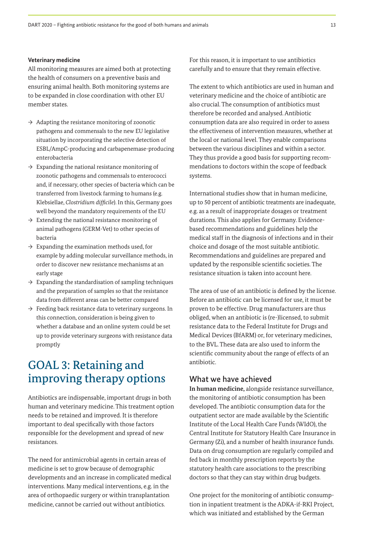#### **Veterinary medicine**

All monitoring measures are aimed both at protecting the health of consumers on a preventive basis and ensuring animal health. Both monitoring systems are to be expanded in close coordination with other EU member states.

- $\rightarrow$  Adapting the resistance monitoring of zoonotic pathogens and commensals to the new EU legislative situation by incorporating the selective detection of ESBL/AmpC-producing and carbapenemase-producing enterobacteria
- $\rightarrow$  Expanding the national resistance monitoring of zoonotic pathogens and commensals to enterococci and, if necessary, other species of bacteria which can be transferred from livestock farming to humans (e.g. Klebsiellae, *Clostridium difficile*). In this, Germany goes well beyond the mandatory requirements of the EU
- $\rightarrow$  Extending the national resistance monitoring of animal pathogens (GERM-Vet) to other species of bacteria
- $\rightarrow$  Expanding the examination methods used, for example by adding molecular surveillance methods, in order to discover new resistance mechanisms at an early stage
- $\rightarrow$  Expanding the standardisation of sampling techniques and the preparation of samples so that the resistance data from different areas can be better compared
- $\rightarrow$  Feeding back resistance data to veterinary surgeons. In this connection, consideration is being given to whether a database and an online system could be set up to provide veterinary surgeons with resistance data promptly

# GOAL 3: Retaining and improving therapy options

Antibiotics are indispensable, important drugs in both human and veterinary medicine. This treatment option needs to be retained and improved. It is therefore important to deal specifically with those factors responsible for the development and spread of new resistances.

The need for antimicrobial agents in certain areas of medicine is set to grow because of demographic developments and an increase in complicated medical interventions. Many medical interventions, e.g. in the area of orthopaedic surgery or within transplantation medicine, cannot be carried out without antibiotics.

For this reason, it is important to use antibiotics carefully and to ensure that they remain effective.

The extent to which antibiotics are used in human and veterinary medicine and the choice of antibiotic are also crucial. The consumption of antibiotics must therefore be recorded and analysed. Antibiotic consumption data are also required in order to assess the effectiveness of intervention measures, whether at the local or national level. They enable comparisons between the various disciplines and within a sector. They thus provide a good basis for supporting recommendations to doctors within the scope of feedback systems.

International studies show that in human medicine, up to 50 percent of antibiotic treatments are inadequate, e.g. as a result of inappropriate dosages or treatment durations. This also applies for Germany. Evidencebased recommendations and guidelines help the medical staff in the diagnosis of infections and in their choice and dosage of the most suitable antibiotic. Recommendations and guidelines are prepared and updated by the responsible scientific societies. The resistance situation is taken into account here.

The area of use of an antibiotic is defined by the license. Before an antibiotic can be licensed for use, it must be proven to be effective. Drug manufacturers are thus obliged, when an antibiotic is (re-)licensed, to submit resistance data to the Federal Institute for Drugs and Medical Devices (BfARM) or, for veterinary medicines, to the BVL. These data are also used to inform the scientific community about the range of effects of an antibiotic.

### What we have achieved

**In human medicine,** alongside resistance surveillance, the monitoring of antibiotic consumption has been developed. The antibiotic consumption data for the outpatient sector are made available by the Scientific Institute of the Local Health Care Funds (WIdO), the Central Institute for Statutory Health Care Insurance in Germany (Zi), and a number of health insurance funds. Data on drug consumption are regularly compiled and fed back in monthly prescription reports by the statutory health care associations to the prescribing doctors so that they can stay within drug budgets.

One project for the monitoring of antibiotic consumption in inpatient treatment is the ADKA-if-RKI Project, which was initiated and established by the German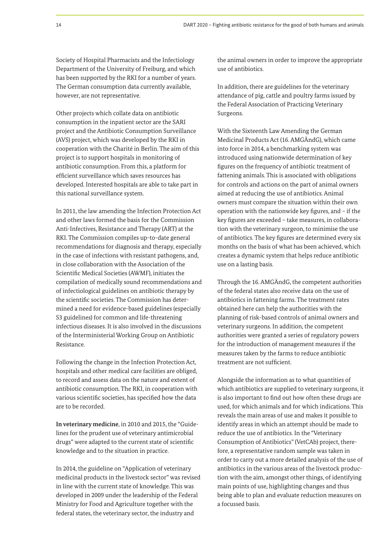Society of Hospital Pharmacists and the Infectiology Department of the University of Freiburg, and which has been supported by the RKI for a number of years. The German consumption data currently available, however, are not representative.

Other projects which collate data on antibiotic consumption in the inpatient sector are the SARI project and the Antibiotic Consumption Surveillance (AVS) project, which was developed by the RKI in cooperation with the Charité in Berlin. The aim of this project is to support hospitals in monitoring of antibiotic consumption. From this, a platform for efficient surveillance which saves resources has developed. Interested hospitals are able to take part in this national surveillance system.

In 2011, the law amending the Infection Protection Act and other laws formed the basis for the Commission Anti-Infectives, Resistance and Therapy (ART) at the RKI. The Commission compiles up-to-date general recommendations for diagnosis and therapy, especially in the case of infections with resistant pathogens, and, in close collaboration with the Association of the Scientific Medical Societies (AWMF), initiates the compilation of medically sound recommendations and of infectiological guidelines on antibiotic therapy by the scientific societies. The Commission has determined a need for evidence-based guidelines (especially S3 guidelines) for common and life-threatening infectious diseases. It is also involved in the discussions of the Interministerial Working Group on Antibiotic Resistance.

Following the change in the Infection Protection Act, hospitals and other medical care facilities are obliged, to record and assess data on the nature and extent of antibiotic consumption. The RKI, in cooperation with various scientific societies, has specified how the data are to be recorded.

**In veterinary medicine**, in 2010 and 2015, the "Guidelines for the prudent use of veterinary antimicrobial drugs" were adapted to the current state of scientific knowledge and to the situation in practice.

In 2014, the guideline on "Application of veterinary medicinal products in the livestock sector" was revised in line with the current state of knowledge. This was developed in 2009 under the leadership of the Federal Ministry for Food and Agriculture together with the federal states, the veterinary sector, the industry and

the animal owners in order to improve the appropriate use of antibiotics.

In addition, there are guidelines for the veterinary attendance of pig, cattle and poultry farms issued by the Federal Association of Practicing Veterinary Surgeons.

With the Sixteenth Law Amending the German Medicinal Products Act (16. AMGÄndG), which came into force in 2014, a benchmarking system was introduced using nationwide determination of key figures on the frequency of antibiotic treatment of fattening animals. This is associated with obligations for controls and actions on the part of animal owners aimed at reducing the use of antibiotics. Animal owners must compare the situation within their own operation with the nationwide key figures, and – if the key figures are exceeded – take measures, in collaboration with the veterinary surgeon, to minimise the use of antibiotics. The key figures are determined every six months on the basis of what has been achieved, which creates a dynamic system that helps reduce antibiotic use on a lasting basis.

Through the 16. AMGÄndG, the competent authorities of the federal states also receive data on the use of antibiotics in fattening farms. The treatment rates obtained here can help the authorities with the planning of risk-based controls of animal owners and veterinary surgeons. In addition, the competent authorities were granted a series of regulatory powers for the introduction of management measures if the measures taken by the farms to reduce antibiotic treatment are not sufficient.

Alongside the information as to what quantities of which antibiotics are supplied to veterinary surgeons, it is also important to find out how often these drugs are used, for which animals and for which indications. This reveals the main areas of use and makes it possible to identify areas in which an attempt should be made to reduce the use of antibiotics. In the "Veterinary Consumption of Antibiotics" (VetCAb) project, therefore, a representative random sample was taken in order to carry out a more detailed analysis of the use of antibiotics in the various areas of the livestock production with the aim, amongst other things, of identifying main points of use, highlighting changes and thus being able to plan and evaluate reduction measures on a focussed basis.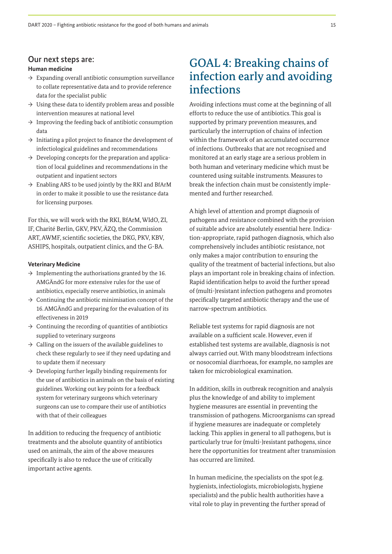## Our next steps are:

#### **Human medicine**

- $\rightarrow$  Expanding overall antibiotic consumption surveillance to collate representative data and to provide reference data for the specialist public
- $\rightarrow$  Using these data to identify problem areas and possible intervention measures at national level
- $\rightarrow$  Improving the feeding back of antibiotic consumption data
- $\rightarrow$  Initiating a pilot project to finance the development of infectiological guidelines and recommendations
- $\rightarrow$  Developing concepts for the preparation and application of local guidelines and recommendations in the outpatient and inpatient sectors
- $\rightarrow$  Enabling ARS to be used jointly by the RKI and BfArM in order to make it possible to use the resistance data for licensing purposes.

For this, we will work with the RKI, BfArM, WIdO, ZI, IF, Charité Berlin, GKV, PKV, ÄZQ, the Commission ART, AWMF, scientific societies, the DKG, PKV, KBV, ASHIPS, hospitals, outpatient clinics, and the G-BA.

#### **Veterinary Medicine**

- $\rightarrow$  Implementing the authorisations granted by the 16. AMGÄndG for more extensive rules for the use of antibiotics, especially reserve antibiotics, in animals
- $\rightarrow$  Continuing the antibiotic minimisation concept of the 16. AMGÄndG and preparing for the evaluation of its effectiveness in 2019
- $\rightarrow$  Continuing the recording of quantities of antibiotics supplied to veterinary surgeons
- $\rightarrow$  Calling on the issuers of the available guidelines to check these regularly to see if they need updating and to update them if necessary
- $\rightarrow$  Developing further legally binding requirements for the use of antibiotics in animals on the basis of existing guidelines. Working out key points for a feedback system for veterinary surgeons which veterinary surgeons can use to compare their use of antibiotics with that of their colleagues

In addition to reducing the frequency of antibiotic treatments and the absolute quantity of antibiotics used on animals, the aim of the above measures specifically is also to reduce the use of critically important active agents.

# GOAL 4: Breaking chains of infection early and avoiding infections

Avoiding infections must come at the beginning of all efforts to reduce the use of antibiotics. This goal is supported by primary prevention measures, and particularly the interruption of chains of infection within the framework of an accumulated occurrence of infections. Outbreaks that are not recognised and monitored at an early stage are a serious problem in both human and veterinary medicine which must be countered using suitable instruments. Measures to break the infection chain must be consistently implemented and further researched.

A high level of attention and prompt diagnosis of pathogens and resistance combined with the provision of suitable advice are absolutely essential here. Indication-appropriate, rapid pathogen diagnosis, which also comprehensively includes antibiotic resistance, not only makes a major contribution to ensuring the quality of the treatment of bacterial infections, but also plays an important role in breaking chains of infection. Rapid identification helps to avoid the further spread of (multi-)resistant infection pathogens and promotes specifically targeted antibiotic therapy and the use of narrow-spectrum antibiotics.

Reliable test systems for rapid diagnosis are not available on a sufficient scale. However, even if established test systems are available, diagnosis is not always carried out. With many bloodstream infections or nosocomial diarrhoeas, for example, no samples are taken for microbiological examination.

In addition, skills in outbreak recognition and analysis plus the knowledge of and ability to implement hygiene measures are essential in preventing the transmission of pathogens. Microorganisms can spread if hygiene measures are inadequate or completely lacking. This applies in general to all pathogens, but is particularly true for (multi-)resistant pathogens, since here the opportunities for treatment after transmission has occurred are limited.

In human medicine, the specialists on the spot (e.g. hygienists, infectiologists, microbiologists, hygiene specialists) and the public health authorities have a vital role to play in preventing the further spread of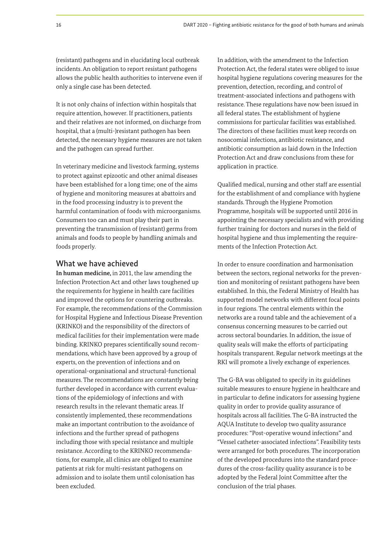(resistant) pathogens and in elucidating local outbreak incidents. An obligation to report resistant pathogens allows the public health authorities to intervene even if only a single case has been detected.

It is not only chains of infection within hospitals that require attention, however. If practitioners, patients and their relatives are not informed, on discharge from hospital, that a (multi-)resistant pathogen has been detected, the necessary hygiene measures are not taken and the pathogen can spread further.

In veterinary medicine and livestock farming, systems to protect against epizootic and other animal diseases have been established for a long time; one of the aims of hygiene and monitoring measures at abattoirs and in the food processing industry is to prevent the harmful contamination of foods with microorganisms. Consumers too can and must play their part in preventing the transmission of (resistant) germs from animals and foods to people by handling animals and foods properly.

## What we have achieved

**In human medicine,** in 2011, the law amending the Infection Protection Act and other laws toughened up the requirements for hygiene in health care facilities and improved the options for countering outbreaks. For example, the recommendations of the Commission for Hospital Hygiene and Infectious Disease Prevention (KRINKO) and the responsibility of the directors of medical facilities for their implementation were made binding. KRINKO prepares scientifically sound recommendations, which have been approved by a group of experts, on the prevention of infections and on operational-organisational and structural-functional measures. The recommendations are constantly being further developed in accordance with current evaluations of the epidemiology of infections and with research results in the relevant thematic areas. If consistently implemented, these recommendations make an important contribution to the avoidance of infections and the further spread of pathogens including those with special resistance and multiple resistance. According to the KRINKO recommendations, for example, all clinics are obliged to examine patients at risk for multi-resistant pathogens on admission and to isolate them until colonisation has been excluded.

In addition, with the amendment to the Infection Protection Act, the federal states were obliged to issue hospital hygiene regulations covering measures for the prevention, detection, recording, and control of treatment-associated infections and pathogens with resistance. These regulations have now been issued in all federal states. The establishment of hygiene commissions for particular facilities was established. The directors of these facilities must keep records on nosocomial infections, antibiotic resistance, and antibiotic consumption as laid down in the Infection Protection Act and draw conclusions from these for application in practice.

Qualified medical, nursing and other staff are essential for the establishment of and compliance with hygiene standards. Through the Hygiene Promotion Programme, hospitals will be supported until 2016 in appointing the necessary specialists and with providing further training for doctors and nurses in the field of hospital hygiene and thus implementing the requirements of the Infection Protection Act.

In order to ensure coordination and harmonisation between the sectors, regional networks for the prevention and monitoring of resistant pathogens have been established. In this, the Federal Ministry of Health has supported model networks with different focal points in four regions. The central elements within the networks are a round table and the achievement of a consensus concerning measures to be carried out across sectoral boundaries. In addition, the issue of quality seals will make the efforts of participating hospitals transparent. Regular network meetings at the RKI will promote a lively exchange of experiences.

The G-BA was obligated to specify in its guidelines suitable measures to ensure hygiene in healthcare and in particular to define indicators for assessing hygiene quality in order to provide quality assurance of hospitals across all facilities. The G-BA instructed the AQUA Institute to develop two quality assurance procedures: "Post-operative wound infections" and "Vessel catheter-associated infections". Feasibility tests were arranged for both procedures. The incorporation of the developed procedures into the standard procedures of the cross-facility quality assurance is to be adopted by the Federal Joint Committee after the conclusion of the trial phases.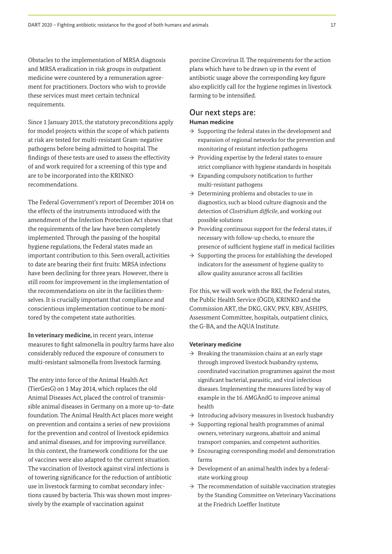Obstacles to the implementation of MRSA diagnosis and MRSA eradication in risk groups in outpatient medicine were countered by a remuneration agreement for practitioners. Doctors who wish to provide these services must meet certain technical requirements.

Since 1 January 2015, the statutory preconditions apply for model projects within the scope of which patients at risk are tested for multi-resistant Gram-negative pathogens before being admitted to hospital. The findings of these tests are used to assess the effectivity of and work required for a screening of this type and are to be incorporated into the KRINKO recommendations.

The Federal Government's report of December 2014 on the effects of the instruments introduced with the amendment of the Infection Protection Act shows that the requirements of the law have been completely implemented. Through the passing of the hospital hygiene regulations, the Federal states made an important contribution to this. Seen overall, activities to date are bearing their first fruits: MRSA infections have been declining for three years. However, there is still room for improvement in the implementation of the recommendations on site in the facilities themselves. It is crucially important that compliance and conscientious implementation continue to be monitored by the competent state authorities.

**In veterinary medicine,** in recent years, intense measures to fight salmonella in poultry farms have also considerably reduced the exposure of consumers to multi-resistant salmonella from livestock farming.

The entry into force of the Animal Health Act (TierGesG) on 1 May 2014, which replaces the old Animal Diseases Act, placed the control of transmissible animal diseases in Germany on a more up-to-date foundation. The Animal Health Act places more weight on prevention and contains a series of new provisions for the prevention and control of livestock epidemics and animal diseases, and for improving surveillance. In this context, the framework conditions for the use of vaccines were also adapted to the current situation. The vaccination of livestock against viral infections is of towering significance for the reduction of antibiotic use in livestock farming to combat secondary infections caused by bacteria. This was shown most impressively by the example of vaccination against

porcine Circovirus II. The requirements for the action plans which have to be drawn up in the event of antibiotic usage above the corresponding key figure also explicitly call for the hygiene regimes in livestock farming to be intensified.

#### Our next steps are: **Human medicine**

- $\rightarrow$  Supporting the federal states in the development and expansion of regional networks for the prevention and monitoring of resistant infection pathogens
- $\rightarrow$  Providing expertise by the federal states to ensure strict compliance with hygiene standards in hospitals
- $\rightarrow$  Expanding compulsory notification to further multi-resistant pathogens
- $\rightarrow$  Determining problems and obstacles to use in diagnostics, such as blood culture diagnosis and the detection of *Clostridium difficile*, and working out possible solutions
- $\rightarrow$  Providing continuous support for the federal states, if necessary with follow-up checks, to ensure the presence of sufficient hygiene staff in medical facilities
- $\rightarrow$  Supporting the process for establishing the developed indicators for the assessment of hygiene quality to allow quality assurance across all facilities

For this, we will work with the RKI, the Federal states, the Public Health Service (ÖGD), KRINKO and the Commission ART, the DKG, GKV, PKV, KBV, ASHIPS, Assessment Committee, hospitals, outpatient clinics, the G-BA, and the AQUA Institute.

#### **Veterinary medicine**

- $\rightarrow$  Breaking the transmission chains at an early stage through improved livestock husbandry systems, coordinated vaccination programmes against the most significant bacterial, parasitic, and viral infectious diseases. Implementing the measures listed by way of example in the 16. AMGÄndG to improve animal health
- $\rightarrow$  Introducing advisory measures in livestock husbandry
- $\rightarrow$  Supporting regional health programmes of animal owners, veterinary surgeons, abattoir and animal transport companies, and competent authorities.
- $\rightarrow$  Encouraging corresponding model and demonstration farms
- $\rightarrow$  Development of an animal health index by a federalstate working group
- $\rightarrow$  The recommendation of suitable vaccination strategies by the Standing Committee on Veterinary Vaccinations at the Friedrich Loeffler Institute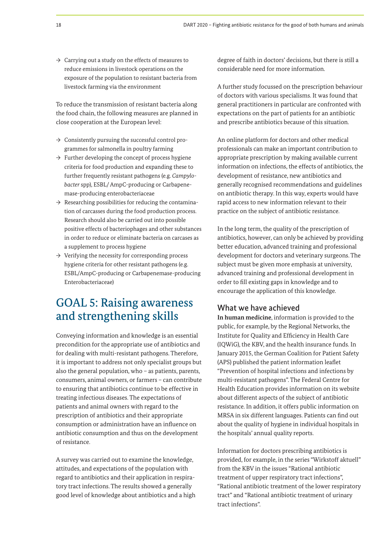$\rightarrow$  Carrying out a study on the effects of measures to reduce emissions in livestock operations on the exposure of the population to resistant bacteria from livestock farming via the environment

To reduce the transmission of resistant bacteria along the food chain, the following measures are planned in close cooperation at the European level:

- $\rightarrow$  Consistently pursuing the successful control programmes for salmonella in poultry farming
- $\rightarrow$  Further developing the concept of process hygiene criteria for food production and expanding these to further frequently resistant pathogens (e.g. *Campylobacter* spp), ESBL/ AmpC-producing or Carbapenemase-producing enterobacteriaceae
- $\rightarrow$  Researching possibilities for reducing the contamination of carcasses during the food production process. Research should also be carried out into possible positive effects of bacteriophages and other substances in order to reduce or eliminate bacteria on carcases as a supplement to process hygiene
- $\rightarrow$  Verifying the necessity for corresponding process hygiene criteria for other resistant pathogens (e.g. ESBL/AmpC-producing or Carbapenemase-producing Enterobacteriaceae)

# GOAL 5: Raising awareness and strengthening skills

Conveying information and knowledge is an essential precondition for the appropriate use of antibiotics and for dealing with multi-resistant pathogens. Therefore, it is important to address not only specialist groups but also the general population, who – as patients, parents, consumers, animal owners, or farmers – can contribute to ensuring that antibiotics continue to be effective in treating infectious diseases. The expectations of patients and animal owners with regard to the prescription of antibiotics and their appropriate consumption or administration have an influence on antibiotic consumption and thus on the development of resistance.

A survey was carried out to examine the knowledge, attitudes, and expectations of the population with regard to antibiotics and their application in respiratory tract infections. The results showed a generally good level of knowledge about antibiotics and a high

degree of faith in doctors' decisions, but there is still a considerable need for more information.

A further study focussed on the prescription behaviour of doctors with various specialisms. It was found that general practitioners in particular are confronted with expectations on the part of patients for an antibiotic and prescribe antibiotics because of this situation.

An online platform for doctors and other medical professionals can make an important contribution to appropriate prescription by making available current information on infections, the effects of antibiotics, the development of resistance, new antibiotics and generally recognised recommendations and guidelines on antibiotic therapy. In this way, experts would have rapid access to new information relevant to their practice on the subject of antibiotic resistance.

In the long term, the quality of the prescription of antibiotics, however, can only be achieved by providing better education, advanced training and professional development for doctors and veterinary surgeons. The subject must be given more emphasis at university, advanced training and professional development in order to fill existing gaps in knowledge and to encourage the application of this knowledge.

### What we have achieved

**In human medicine**, information is provided to the public, for example, by the Regional Networks, the Institute for Quality and Efficiency in Health Care (IQWiG), the KBV, and the health insurance funds. In January 2015, the German Coalition for Patient Safety (APS) published the patient information leaflet "Prevention of hospital infections and infections by multi-resistant pathogens". The Federal Centre for Health Education provides information on its website about different aspects of the subject of antibiotic resistance. In addition, it offers public information on MRSA in six different languages. Patients can find out about the quality of hygiene in individual hospitals in the hospitals' annual quality reports.

Information for doctors prescribing antibiotics is provided, for example, in the series "Wirkstoff aktuell" from the KBV in the issues "Rational antibiotic treatment of upper respiratory tract infections", "Rational antibiotic treatment of the lower respiratory tract" and "Rational antibiotic treatment of urinary tract infections".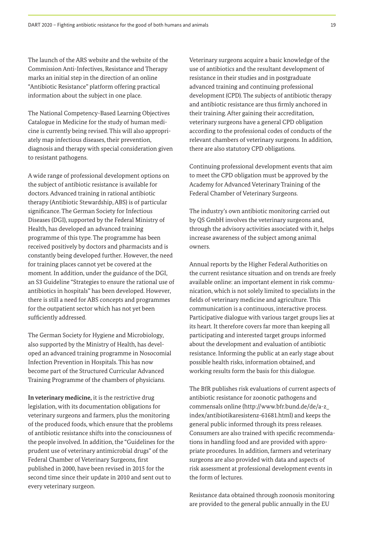The launch of the ARS website and the website of the Commission Anti-Infectives, Resistance and Therapy marks an initial step in the direction of an online "Antibiotic Resistance" platform offering practical information about the subject in one place.

The National Competency-Based Learning Objectives Catalogue in Medicine for the study of human medicine is currently being revised. This will also appropriately map infectious diseases, their prevention, diagnosis and therapy with special consideration given to resistant pathogens.

A wide range of professional development options on the subject of antibiotic resistance is available for doctors. Advanced training in rational antibiotic therapy (Antibiotic Stewardship, ABS) is of particular significance. The German Society for Infectious Diseases (DGI), supported by the Federal Ministry of Health, has developed an advanced training programme of this type. The programme has been received positively by doctors and pharmacists and is constantly being developed further. However, the need for training places cannot yet be covered at the moment. In addition, under the guidance of the DGI, an S3 Guideline "Strategies to ensure the rational use of antibiotics in hospitals" has been developed. However, there is still a need for ABS concepts and programmes for the outpatient sector which has not yet been sufficiently addressed.

The German Society for Hygiene and Microbiology, also supported by the Ministry of Health, has developed an advanced training programme in Nosocomial Infection Prevention in Hospitals. This has now become part of the Structured Curricular Advanced Training Programme of the chambers of physicians.

**In veterinary medicine,** it is the restrictive drug legislation, with its documentation obligations for veterinary surgeons and farmers, plus the monitoring of the produced foods, which ensure that the problems of antibiotic resistance shifts into the consciousness of the people involved. In addition, the "Guidelines for the prudent use of veterinary antimicrobial drugs" of the Federal Chamber of Veterinary Surgeons, first published in 2000, have been revised in 2015 for the second time since their update in 2010 and sent out to every veterinary surgeon.

Veterinary surgeons acquire a basic knowledge of the use of antibiotics and the resultant development of resistance in their studies and in postgraduate advanced training and continuing professional development (CPD). The subjects of antibiotic therapy and antibiotic resistance are thus firmly anchored in their training. After gaining their accreditation, veterinary surgeons have a general CPD obligation according to the professional codes of conducts of the relevant chambers of veterinary surgeons. In addition, there are also statutory CPD obligations.

Continuing professional development events that aim to meet the CPD obligation must be approved by the Academy for Advanced Veterinary Training of the Federal Chamber of Veterinary Surgeons.

The industry's own antibiotic monitoring carried out by QS GmbH involves the veterinary surgeons and, through the advisory activities associated with it, helps increase awareness of the subject among animal owners.

Annual reports by the Higher Federal Authorities on the current resistance situation and on trends are freely available online: an important element in risk communication, which is not solely limited to specialists in the fields of veterinary medicine and agriculture. This communication is a continuous, interactive process. Participative dialogue with various target groups lies at its heart. It therefore covers far more than keeping all participating and interested target groups informed about the development and evaluation of antibiotic resistance. Informing the public at an early stage about possible health risks, information obtained, and working results form the basis for this dialogue.

The BfR publishes risk evaluations of current aspects of antibiotic resistance for zoonotic pathogens and commensals online (http://www.bfr.bund.de/de/a-z\_ index/antibiotikaresistenz-61681.html) and keeps the general public informed through its press releases. Consumers are also trained with specific recommendations in handling food and are provided with appropriate procedures. In addition, farmers and veterinary surgeons are also provided with data and aspects of risk assessment at professional development events in the form of lectures.

Resistance data obtained through zoonosis monitoring are provided to the general public annually in the EU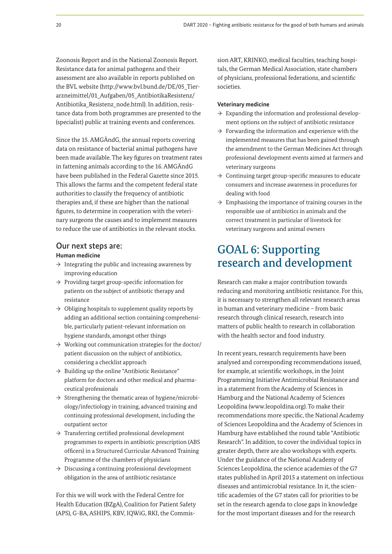Zoonosis Report and in the National Zoonosis Report. Resistance data for animal pathogens and their assessment are also available in reports published on the BVL website (http://www.bvl.bund.de/DE/05\_Tierarzneimittel/01\_Aufgaben/05\_AntibiotikaResistenz/ Antibiotika\_Resistenz\_node.html). In addition, resistance data from both programmes are presented to the (specialist) public at training events and conferences.

Since the 15. AMGÄndG, the annual reports covering data on resistance of bacterial animal pathogens have been made available. The key figures on treatment rates in fattening animals according to the 16. AMGÄndG have been published in the Federal Gazette since 2015. This allows the farms and the competent federal state authorities to classify the frequency of antibiotic therapies and, if these are higher than the national figures, to determine in cooperation with the veterinary surgeons the causes and to implement measures to reduce the use of antibiotics in the relevant stocks.

#### Our next steps are:

#### **Human medicine**

- $\rightarrow$  Integrating the public and increasing awareness by improving education
- $\rightarrow$  Providing target group-specific information for patients on the subject of antibiotic therapy and resistance
- $\rightarrow$  Obliging hospitals to supplement quality reports by adding an additional section containing comprehensible, particularly patient-relevant information on hygiene standards, amongst other things
- $\rightarrow$  Working out communication strategies for the doctor/ patient discussion on the subject of antibiotics, considering a checklist approach
- $\rightarrow$  Building up the online "Antibiotic Resistance" platform for doctors and other medical and pharmaceutical professionals
- $\rightarrow$  Strengthening the thematic areas of hygiene/microbiology/infectiology in training, advanced training and continuing professional development, including the outpatient sector
- $\rightarrow$  Transferring certified professional development programmes to experts in antibiotic prescription (ABS officers) in a Structured Curricular Advanced Training Programme of the chambers of physicians
- $\rightarrow$  Discussing a continuing professional development obligation in the area of antibiotic resistance

For this we will work with the Federal Centre for Health Education (BZgA), Coalition for Patient Safety (APS), G-BA, ASHIPS, KBV, IQWiG, RKI, the Commis-

sion ART, KRINKO, medical faculties, teaching hospitals, the German Medical Association, state chambers of physicians, professional federations, and scientific societies.

#### **Veterinary medicine**

- $\rightarrow$  Expanding the information and professional development options on the subject of antibiotic resistance
- $\rightarrow$  Forwarding the information and experience with the implemented measures that has been gained through the amendment to the German Medicines Act through professional development events aimed at farmers and veterinary surgeons
- $\rightarrow$  Continuing target group-specific measures to educate consumers and increase awareness in procedures for dealing with food
- $\rightarrow$  Emphasising the importance of training courses in the responsible use of antibiotics in animals and the correct treatment in particular of livestock for veterinary surgeons and animal owners

# GOAL 6: Supporting research and development

Research can make a major contribution towards reducing and monitoring antibiotic resistance. For this, it is necessary to strengthen all relevant research areas in human and veterinary medicine – from basic research through clinical research, research into matters of public health to research in collaboration with the health sector and food industry.

In recent years, research requirements have been analysed and corresponding recommendations issued, for example, at scientific workshops, in the Joint Programming Initiative Antimicrobial Resistance and in a statement from the Academy of Sciences in Hamburg and the National Academy of Sciences Leopoldina (www.leopoldina.org). To make their recommendations more specific, the National Academy of Sciences Leopoldina and the Academy of Sciences in Hamburg have established the round table "Antibiotic Research". In addition, to cover the individual topics in greater depth, there are also workshops with experts. Under the guidance of the National Academy of Sciences Leopoldina, the science academies of the G7 states published in April 2015 a statement on infectious diseases and antimicrobial resistance. In it, the scientific academies of the G7 states call for priorities to be set in the research agenda to close gaps in knowledge for the most important diseases and for the research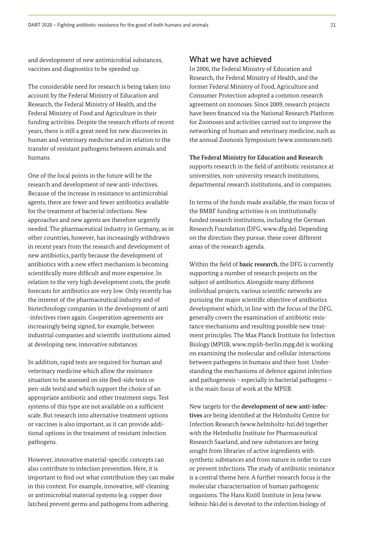and development of new antimicrobial substances, vaccines and diagnostics to be speeded up.

The considerable need for research is being taken into account by the Federal Ministry of Education and Research, the Federal Ministry of Health, and the Federal Ministry of Food and Agriculture in their funding activities. Despite the research efforts of recent years, there is still a great need for new discoveries in human and veterinary medicine and in relation to the transfer of resistant pathogens between animals and humans.

One of the focal points in the future will be the research and development of new anti-infectives. Because of the increase in resistance to antimicrobial agents, there are fewer and fewer antibiotics available for the treatment of bacterial infections. New approaches and new agents are therefore urgently needed. The pharmaceutical industry in Germany, as in other countries, however, has increasingly withdrawn in recent years from the research and development of new antibiotics, partly because the development of antibiotics with a new effect mechanism is becoming scientifically more difficult and more expensive. In relation to the very high development costs, the profit forecasts for antibiotics are very low. Only recently has the interest of the pharmaceutical industry and of biotechnology companies in the development of anti -infectives risen again. Cooperation agreements are increasingly being signed, for example, between industrial companies and scientific institutions aimed at developing new, innovative substances.

In addition, rapid tests are required for human and veterinary medicine which allow the resistance situation to be assessed on site (bed-side tests or pen-side tests) and which support the choice of an appropriate antibiotic and other treatment steps. Test systems of this type are not available on a sufficient scale. But research into alternative treatment options or vaccines is also important, as it can provide additional options in the treatment of resistant infection pathogens.

However, innovative material-specific concepts can also contribute to infection prevention. Here, it is important to find out what contribution they can make in this context. For example, innovative, self-cleaning or antimicrobial material systems (e.g. copper door latches) prevent germs and pathogens from adhering.

### What we have achieved

In 2006, the Federal Ministry of Education and Research, the Federal Ministry of Health, and the former Federal Ministry of Food, Agriculture and Consumer Protection adopted a common research agreement on zoonoses. Since 2009, research projects have been financed via the National Research Platform for Zoonoses and activities carried out to improve the networking of human and veterinary medicine, such as the annual Zoonosis Symposium (www.zoonosen.net).

**The Federal Ministry for Education and Research**  supports research in the field of antibiotic resistance at

universities, non-university research institutions, departmental research institutions, and in companies.

In terms of the funds made available, the main focus of the BMBF funding activities is on institutionally funded research institutions, including the German Research Foundation (DFG, www.dfg.de). Depending on the direction they pursue, these cover different areas of the research agenda.

Within the field of **basic research**, the DFG is currently supporting a number of research projects on the subject of antibiotics. Alongside many different individual projects, various scientific networks are pursuing the major scientific objective of antibiotics development which, in line with the focus of the DFG, generally covers the examination of antibiotic resistance mechanisms and resulting possible new treatment principles. The Max Planck Institute for Infection Biology (MPIIB, www.mpiib-berlin.mpg.de) is working on examining the molecular and cellular interactions between pathogens in humans and their host. Understanding the mechanisms of defence against infection and pathogenesis – especially in bacterial pathogens – is the main focus of work at the MPIIB.

New targets for the **development of new anti-infectives** are being identified at the Helmholtz Centre for Infection Research (www.helmholtz-hzi.de) together with the Helmholtz Institute for Pharmaceutical Research Saarland, and new substances are being sought from libraries of active ingredients with synthetic substances and from nature in order to cure or prevent infections. The study of antibiotic resistance is a central theme here. A further research focus is the molecular characterisation of human pathogenic organisms. The Hans Knöll Institute in Jena (www. leibniz-hki.de) is devoted to the infection biology of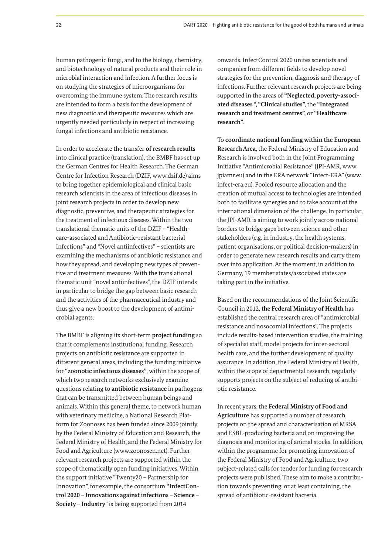human pathogenic fungi, and to the biology, chemistry, and biotechnology of natural products and their role in microbial interaction and infection. A further focus is on studying the strategies of microorganisms for overcoming the immune system. The research results are intended to form a basis for the development of new diagnostic and therapeutic measures which are urgently needed particularly in respect of increasing fungal infections and antibiotic resistance.

In order to accelerate the transfer **of research results** into clinical practice (translation), the BMBF has set up the German Centres for Health Research. The German Centre for Infection Research (DZIF, www.dzif.de) aims to bring together epidemiological and clinical basic research scientists in the area of infectious diseases in joint research projects in order to develop new diagnostic, preventive, and therapeutic strategies for the treatment of infectious diseases. Within the two translational thematic units of the DZIF – "Healthcare-associated and Antibiotic-resistant bacterial Infections" and "Novel antiinfectives" – scientists are examining the mechanisms of antibiotic resistance and how they spread, and developing new types of preventive and treatment measures. With the translational thematic unit "novel antiinfectives", the DZIF intends in particular to bridge the gap between basic research and the activities of the pharmaceutical industry and thus give a new boost to the development of antimicrobial agents.

The BMBF is aligning its short-term **project funding** so that it complements institutional funding. Research projects on antibiotic resistance are supported in different general areas, including the funding initiative for **"zoonotic infectious diseases"**, within the scope of which two research networks exclusively examine questions relating to **antibiotic resistance** in pathogens that can be transmitted between human beings and animals. Within this general theme, to network human with veterinary medicine, a National Research Platform for Zoonoses has been funded since 2009 jointly by the Federal Ministry of Education and Research, the Federal Ministry of Health, and the Federal Ministry for Food and Agriculture (www.zoonosen.net). Further relevant research projects are supported within the scope of thematically open funding initiatives. Within the support initiative "Twenty20 – Partnership for Innovation", for example, the consortium **"InfectControl 2020 – Innovations against infections – Science – Society – Industry**" is being supported from 2014

onwards. InfectControl 2020 unites scientists and companies from different fields to develop novel strategies for the prevention, diagnosis and therapy of infections. Further relevant research projects are being supported in the areas of **"Neglected, poverty-associated diseases ", "Clinical studies",** the **"Integrated research and treatment centres",** or **"Healthcare research".**

To **coordinate national funding within the European Research Area**, the Federal Ministry of Education and Research is involved both in the Joint Programming Initiative "Antimicrobial Resistance" (JPI-AMR, www. jpiamr.eu) and in the ERA network "Infect-ERA" (www. infect-era.eu). Pooled resource allocation and the creation of mutual access to technologies are intended both to facilitate synergies and to take account of the international dimension of the challenge. In particular, the JPI-AMR is aiming to work jointly across national borders to bridge gaps between science and other stakeholders (e.g. in industry, the health systems, patient organisations, or political decision-makers) in order to generate new research results and carry them over into application. At the moment, in addition to Germany, 19 member states/associated states are taking part in the initiative.

Based on the recommendations of the Joint Scientific Council in 2012, **the Federal Ministry of Health** has established the central research area of "antimicrobial resistance and nosocomial infections". The projects include results-based intervention studies, the training of specialist staff, model projects for inter-sectoral health care, and the further development of quality assurance. In addition, the Federal Ministry of Health, within the scope of departmental research, regularly supports projects on the subject of reducing of antibiotic resistance.

In recent years, the **Federal Ministry of Food and Agriculture** has supported a number of research projects on the spread and characterisation of MRSA and ESBL-producing bacteria and on improving the diagnosis and monitoring of animal stocks. In addition, within the programme for promoting innovation of the Federal Ministry of Food and Agriculture, two subject-related calls for tender for funding for research projects were published. These aim to make a contribution towards preventing, or at least containing, the spread of antibiotic-resistant bacteria.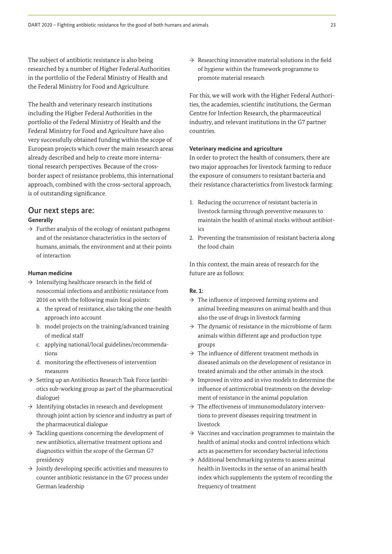The subject of antibiotic resistance is also being researched by a number of Higher Federal Authorities in the portfolio of the Federal Ministry of Health and the Federal Ministry for Food and Agriculture.

The health and veterinary research institutions including the Higher Federal Authorities in the portfolio of the Federal Ministry of Health and the Federal Ministry for Food and Agriculture have also very successfully obtained funding within the scope of European projects which cover the main research areas already described and help to create more international research perspectives. Because of the crossborder aspect of resistance problems, this international approach, combined with the cross-sectoral approach, is of outstanding significance.

## Our next steps are: **Generally**

 $\rightarrow$  Further analysis of the ecology of resistant pathogens and of the resistance characteristics in the sectors of humans, animals, the environment and at their points of interaction

#### **Human medicine**

- $\rightarrow$  Intensifying healthcare research in the field of nosocomial infections and antibiotic resistance from 2016 on with the following main focal points:
	- a. the spread of resistance, also taking the one-health approach into account
	- b. model projects on the training/advanced training of medical staff
	- c. applying national/local guidelines/recommendations
	- d. monitoring the effectiveness of intervention measures
- $\rightarrow$  Setting up an Antibiotics Research Task Force (antibiotics sub-working group as part of the pharmaceutical dialogue)
- $\rightarrow$  Identifying obstacles in research and development through joint action by science and industry as part of the pharmaceutical dialogue
- $\rightarrow$  Tackling questions concerning the development of new antibiotics, alternative treatment options and diagnostics within the scope of the German G7 presidency
- $\rightarrow$  Jointly developing specific activities and measures to counter antibiotic resistance in the G7 process under German leadership

 $\rightarrow$  Researching innovative material solutions in the field of hygiene within the framework programme to promote material research

For this, we will work with the Higher Federal Authorities, the academies, scientific institutions, the German Centre for Infection Research, the pharmaceutical industry, and relevant institutions in the G7 partner countries.

#### **Veterinary medicine and agriculture**

In order to protect the health of consumers, there are two major approaches for livestock farming to reduce the exposure of consumers to resistant bacteria and their resistance characteristics from livestock farming:

- 1. Reducing the occurrence of resistant bacteria in livestock farming through preventive measures to maintain the health of animal stocks without antibiot $i$ cs
- 2. Preventing the transmission of resistant bacteria along the food chain

In this context, the main areas of research for the future are as follows:

### **Re. 1:**

- $\rightarrow$  The influence of improved farming systems and animal breeding measures on animal health and thus also the use of drugs in livestock farming
- $\rightarrow$  The dynamic of resistance in the microbiome of farm animals within different age and production type groups
- $\rightarrow$  The influence of different treatment methods in diseased animals on the development of resistance in treated animals and the other animals in the stock
- $\rightarrow$  Improved in vitro and in vivo models to determine the influence of antimicrobial treatments on the development of resistance in the animal population
- $\rightarrow$  The effectiveness of immunomodulatory interventions to prevent diseases requiring treatment in livestock
- $\rightarrow$  Vaccines and vaccination programmes to maintain the health of animal stocks and control infections which acts as pacesetters for secondary bacterial infections
- $\rightarrow$  Additional benchmarking systems to assess animal health in livestocks in the sense of an animal health index which supplements the system of recording the frequency of treatment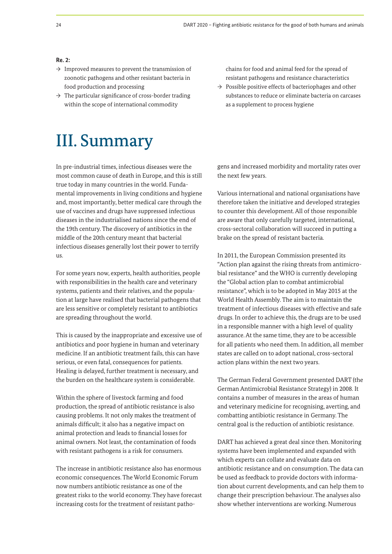#### **Re. 2:**

- $\rightarrow$  Improved measures to prevent the transmission of zoonotic pathogens and other resistant bacteria in food production and processing
- $\rightarrow$  The particular significance of cross-border trading within the scope of international commodity

chains for food and animal feed for the spread of resistant pathogens and resistance characteristics

 $\rightarrow$  Possible positive effects of bacteriophages and other substances to reduce or eliminate bacteria on carcases as a supplement to process hygiene

# III. Summary

In pre-industrial times, infectious diseases were the most common cause of death in Europe, and this is still true today in many countries in the world. Fundamental improvements in living conditions and hygiene and, most importantly, better medical care through the use of vaccines and drugs have suppressed infectious diseases in the industrialised nations since the end of the 19th century. The discovery of antibiotics in the middle of the 20th century meant that bacterial infectious diseases generally lost their power to terrify us.

For some years now, experts, health authorities, people with responsibilities in the health care and veterinary systems, patients and their relatives, and the population at large have realised that bacterial pathogens that are less sensitive or completely resistant to antibiotics are spreading throughout the world.

This is caused by the inappropriate and excessive use of antibiotics and poor hygiene in human and veterinary medicine. If an antibiotic treatment fails, this can have serious, or even fatal, consequences for patients. Healing is delayed, further treatment is necessary, and the burden on the healthcare system is considerable.

Within the sphere of livestock farming and food production, the spread of antibiotic resistance is also causing problems. It not only makes the treatment of animals difficult; it also has a negative impact on animal protection and leads to financial losses for animal owners. Not least, the contamination of foods with resistant pathogens is a risk for consumers.

The increase in antibiotic resistance also has enormous economic consequences. The World Economic Forum now numbers antibiotic resistance as one of the greatest risks to the world economy. They have forecast increasing costs for the treatment of resistant pathogens and increased morbidity and mortality rates over the next few years.

Various international and national organisations have therefore taken the initiative and developed strategies to counter this development. All of those responsible are aware that only carefully targeted, international, cross-sectoral collaboration will succeed in putting a brake on the spread of resistant bacteria.

In 2011, the European Commission presented its "Action plan against the rising threats from antimicrobial resistance" and the WHO is currently developing the "Global action plan to combat antimicrobial resistance", which is to be adopted in May 2015 at the World Health Assembly. The aim is to maintain the treatment of infectious diseases with effective and safe drugs. In order to achieve this, the drugs are to be used in a responsible manner with a high level of quality assurance. At the same time, they are to be accessible for all patients who need them. In addition, all member states are called on to adopt national, cross-sectoral action plans within the next two years.

The German Federal Government presented DART (the German Antimicrobial Resistance Strategy) in 2008. It contains a number of measures in the areas of human and veterinary medicine for recognising, averting, and combatting antibiotic resistance in Germany. The central goal is the reduction of antibiotic resistance.

DART has achieved a great deal since then. Monitoring systems have been implemented and expanded with which experts can collate and evaluate data on antibiotic resistance and on consumption. The data can be used as feedback to provide doctors with information about current developments, and can help them to change their prescription behaviour. The analyses also show whether interventions are working. Numerous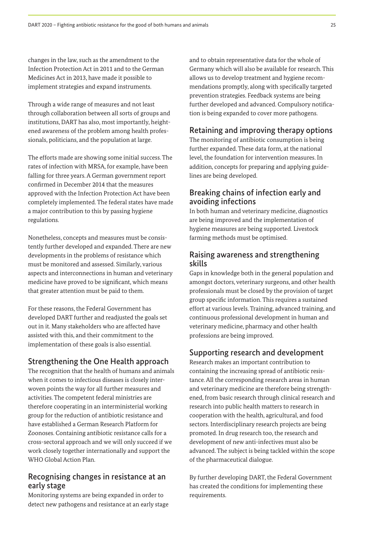changes in the law, such as the amendment to the Infection Protection Act in 2011 and to the German Medicines Act in 2013, have made it possible to implement strategies and expand instruments.

Through a wide range of measures and not least through collaboration between all sorts of groups and institutions, DART has also, most importantly, heightened awareness of the problem among health professionals, politicians, and the population at large.

The efforts made are showing some initial success. The rates of infection with MRSA, for example, have been falling for three years. A German government report confirmed in December 2014 that the measures approved with the Infection Protection Act have been completely implemented. The federal states have made a major contribution to this by passing hygiene regulations.

Nonetheless, concepts and measures must be consistently further developed and expanded. There are new developments in the problems of resistance which must be monitored and assessed. Similarly, various aspects and interconnections in human and veterinary medicine have proved to be significant, which means that greater attention must be paid to them.

For these reasons, the Federal Government has developed DART further and readjusted the goals set out in it. Many stakeholders who are affected have assisted with this, and their commitment to the implementation of these goals is also essential.

### Strengthening the One Health approach

The recognition that the health of humans and animals when it comes to infectious diseases is closely interwoven points the way for all further measures and activities. The competent federal ministries are therefore cooperating in an interministerial working group for the reduction of antibiotic resistance and have established a German Research Platform for Zoonoses. Containing antibiotic resistance calls for a cross-sectoral approach and we will only succeed if we work closely together internationally and support the WHO Global Action Plan.

## Recognising changes in resistance at an early stage

Monitoring systems are being expanded in order to detect new pathogens and resistance at an early stage and to obtain representative data for the whole of Germany which will also be available for research. This allows us to develop treatment and hygiene recommendations promptly, along with specifically targeted prevention strategies. Feedback systems are being further developed and advanced. Compulsory notification is being expanded to cover more pathogens.

## Retaining and improving therapy options

The monitoring of antibiotic consumption is being further expanded. These data form, at the national level, the foundation for intervention measures. In addition, concepts for preparing and applying guidelines are being developed.

## Breaking chains of infection early and avoiding infections

In both human and veterinary medicine, diagnostics are being improved and the implementation of hygiene measures are being supported. Livestock farming methods must be optimised.

## Raising awareness and strengthening skills

Gaps in knowledge both in the general population and amongst doctors, veterinary surgeons, and other health professionals must be closed by the provision of target group specific information. This requires a sustained effort at various levels. Training, advanced training, and continuous professional development in human and veterinary medicine, pharmacy and other health professions are being improved.

# Supporting research and development

Research makes an important contribution to containing the increasing spread of antibiotic resistance. All the corresponding research areas in human and veterinary medicine are therefore being strengthened, from basic research through clinical research and research into public health matters to research in cooperation with the health, agricultural, and food sectors. Interdisciplinary research projects are being promoted. In drug research too, the research and development of new anti-infectives must also be advanced. The subject is being tackled within the scope of the pharmaceutical dialogue.

By further developing DART, the Federal Government has created the conditions for implementing these requirements.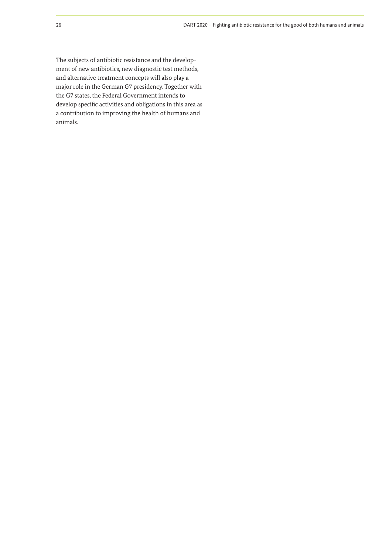The subjects of antibiotic resistance and the development of new antibiotics, new diagnostic test methods, and alternative treatment concepts will also play a major role in the German G7 presidency. Together with the G7 states, the Federal Government intends to develop specific activities and obligations in this area as a contribution to improving the health of humans and animals.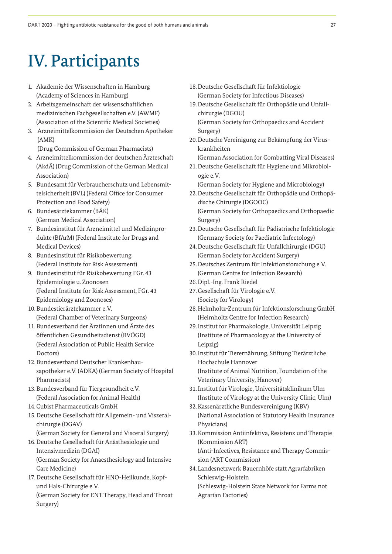# IV. Participants

- 1. Akademie der Wissenschaften in Hamburg (Academy of Sciences in Hamburg)
- 2. Arbeitsgemeinschaft der wissenschaftlichen medizinischen Fachgesellschaften e.V. (AWMF) (Association of the Scientific Medical Societies)
- 3. Arzneimittelkommission der Deutschen Apotheker (AMK)
- (Drug Commission of German Pharmacists) 4. Arzneimittelkommission der deutschen Ärzteschaft (AkdÄ) (Drug Commission of the German Medical
- Association) 5. Bundesamt für Verbraucherschutz und Lebensmittelsicherheit (BVL) (Federal Office for Consumer Protection and Food Safety)
- 6. Bundesärztekammer (BÄK) (German Medical Association)
- 7. Bundesinstitut für Arzneimittel und Medizinprodukte (BfArM) (Federal Institute for Drugs and Medical Devices)
- 8. Bundesinstitut für Risikobewertung (Federal Institute for Risk Assessment)
- 9. Bundesinstitut für Risikobewertung FGr. 43 Epidemiologie u. Zoonosen (Federal Institute for Risk Assessment, FGr. 43 Epidemiology and Zoonoses)
- 10. Bundestierärztekammer e.V. (Federal Chamber of Veterinary Surgeons)
- 11. Bundesverband der Ärztinnen und Ärzte des öffentlichen Gesundheitsdienst (BVÖGD) (Federal Association of Public Health Service Doctors)
- 12. Bundesverband Deutscher Krankenhausapotheker e.V. (ADKA) (German Society of Hospital Pharmacists)
- 13. Bundesverband für Tiergesundheit e.V. (Federal Association for Animal Health)
- 14. Cubist Pharmaceuticals GmbH
- 15. Deutsche Gesellschaft für Allgemein- und Viszeralchirurgie (DGAV)
- (German Society for General and Visceral Surgery) 16. Deutsche Gesellschaft für Anästhesiologie und

Intensivmedizin (DGAI) (German Society for Anaesthesiology and Intensive Care Medicine)

17. Deutsche Gesellschaft für HNO-Heilkunde, Kopfund Hals-Chirurgie e.V. (German Society for ENT Therapy, Head and Throat

Surgery)

- 18. Deutsche Gesellschaft für Infektiologie (German Society for Infectious Diseases)
- 19. Deutsche Gesellschaft für Orthopädie und Unfallchirurgie (DGOU)

(German Society for Orthopaedics and Accident Surgery)

20. Deutsche Vereinigung zur Bekämpfung der Viruskrankheiten

(German Association for Combatting Viral Diseases)

21. Deutsche Gesellschaft für Hygiene und Mikrobiologie e.V.

(German Society for Hygiene and Microbiology)

- 22. Deutsche Gesellschaft für Orthopädie und Orthopädische Chirurgie (DGOOC) (German Society for Orthopaedics and Orthopaedic
- Surgery) 23. Deutsche Gesellschaft für Pädiatrische Infektiologie (Germany Society for Paediatric Infectology)
- 24. Deutsche Gesellschaft für Unfallchirurgie (DGU) (German Society for Accident Surgery)
- 25. Deutsches Zentrum für Infektionsforschung e.V. (German Centre for Infection Research)
- 26. Dipl.-Ing. Frank Riedel
- 27. Gesellschaft für Virologie e.V. (Society for Virology)
- 28. Helmholtz-Zentrum für Infektionsforschung GmbH (Helmholtz Centre for Infection Research)
- 29. Institut for Pharmakologie, Universität Leipzig (Institute of Pharmacology at the University of Leipzig)
- 30. Institut für Tierernährung, Stiftung Tierärztliche Hochschule Hannover (Institute of Animal Nutrition, Foundation of the Veterinary University, Hanover)
- 31. Institut für Virologie, Universitätsklinikum Ulm (Institute of Virology at the University Clinic, Ulm)
- 32. Kassenärztliche Bundesvereinigung (KBV) (National Association of Statutory Health Insurance Physicians)
- 33. Kommission Antiinfektiva, Resistenz und Therapie (Kommission ART) (Anti-Infectives, Resistance and Therapy Commission (ART Commission)
- 34. Landesnetzwerk Bauernhöfe statt Agrarfabriken Schleswig-Holstein (Schleswig-Holstein State Network for Farms not

Agrarian Factories)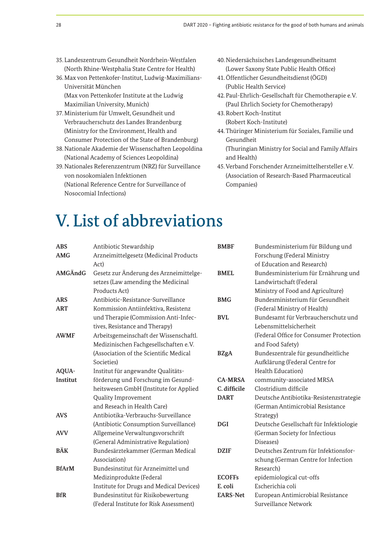- 35. Landeszentrum Gesundheit Nordrhein-Westfalen (North Rhine-Westphalia State Centre for Health)
- 36. Max von Pettenkofer-Institut, Ludwig-Maximilians-Universität München (Max von Pettenkofer Institute at the Ludwig Maximilian University, Munich)
- 37. Ministerium für Umwelt, Gesundheit und Verbraucherschutz des Landes Brandenburg (Ministry for the Environment, Health and Consumer Protection of the State of Brandenburg)
- 38. Nationale Akademie der Wissenschaften Leopoldina (National Academy of Sciences Leopoldina)
- 39. Nationales Referenzzentrum (NRZ) für Surveillance von nosokomialen Infektionen (National Reference Centre for Surveillance of Nosocomial Infections)
- 40. Niedersächsisches Landesgesundheitsamt (Lower Saxony State Public Health Office)
- 41. Öffentlicher Gesundheitsdienst (ÖGD) (Public Health Service)
- 42. Paul-Ehrlich-Gesellschaft für Chemotherapie e.V. (Paul Ehrlich Society for Chemotherapy)
- 43. Robert Koch-Institut (Robert Koch-Institute)
- 44. Thüringer Ministerium für Soziales, Familie und Gesundheit
	- (Thuringian Ministry for Social and Family Affairs and Health)
- 45. Verband Forschender Arzneimittelhersteller e.V. (Association of Research-Based Pharmaceutical Companies)

# V. List of abbreviations

| <b>ABS</b>   | Antibiotic Stewardship                   | <b>BMBF</b>     | Bundesministerium für Bildung und       |
|--------------|------------------------------------------|-----------------|-----------------------------------------|
| <b>AMG</b>   | Arzneimittelgesetz (Medicinal Products   |                 | Forschung (Federal Ministry             |
|              | Act)                                     |                 | of Education and Research)              |
| AMGÄndG      | Gesetz zur Änderung des Arzneimittelge-  | <b>BMEL</b>     | Bundesministerium für Ernährung und     |
|              | setzes (Law amending the Medicinal       |                 | Landwirtschaft (Federal                 |
|              | Products Act)                            |                 | Ministry of Food and Agriculture)       |
| <b>ARS</b>   | Antibiotic-Resistance-Surveillance       | <b>BMG</b>      | Bundesministerium für Gesundheit        |
| <b>ART</b>   | Kommission Antiinfektiva, Resistenz      |                 | (Federal Ministry of Health)            |
|              | und Therapie (Commission Anti-Infec-     | <b>BVL</b>      | Bundesamt für Verbraucherschutz und     |
|              | tives, Resistance and Therapy)           |                 | Lebensmittelsicherheit                  |
| <b>AWMF</b>  | Arbeitsgemeinschaft der Wissenschaftl.   |                 | (Federal Office for Consumer Protection |
|              | Medizinischen Fachgesellschaften e.V.    |                 | and Food Safety)                        |
|              | (Association of the Scientific Medical   | <b>BZgA</b>     | Bundeszentrale für gesundheitliche      |
|              | Societies)                               |                 | Aufklärung (Federal Centre for          |
| AQUA-        | Institut für angewandte Qualitäts-       |                 | Health Education)                       |
| Institut     | förderung und Forschung im Gesund-       | <b>CA-MRSA</b>  | community-associated MRSA               |
|              | heitswesen GmbH (Institute for Applied   | C. difficile    | Clostridium difficile                   |
|              | Quality Improvement                      | <b>DART</b>     | Deutsche Antibiotika-Resistenzstrategie |
|              | and Reseach in Health Care)              |                 | (German Antimicrobial Resistance        |
| <b>AVS</b>   | Antibiotika-Verbrauchs-Surveillance      |                 | Strategy)                               |
|              | (Antibiotic Consumption Surveillance)    | <b>DGI</b>      | Deutsche Gesellschaft für Infektiologie |
| <b>AVV</b>   | Allgemeine Verwaltungsvorschrift         |                 | (German Society for Infectious          |
|              | (General Administrative Regulation)      |                 | Diseases)                               |
| <b>BÄK</b>   | Bundesärztekammer (German Medical        | <b>DZIF</b>     | Deutsches Zentrum für Infektionsfor-    |
|              | Association)                             |                 | schung (German Centre for Infection     |
| <b>BfArM</b> | Bundesinstitut für Arzneimittel und      |                 | Research)                               |
|              | Medizinprodukte (Federal                 | <b>ECOFFs</b>   | epidemiological cut-offs                |
|              | Institute for Drugs and Medical Devices) | E. coli         | Escherichia coli                        |
| <b>BfR</b>   | Bundesinstitut für Risikobewertung       | <b>EARS-Net</b> | European Antimicrobial Resistance       |
|              | (Federal Institute for Risk Assessment)  |                 | Surveillance Network                    |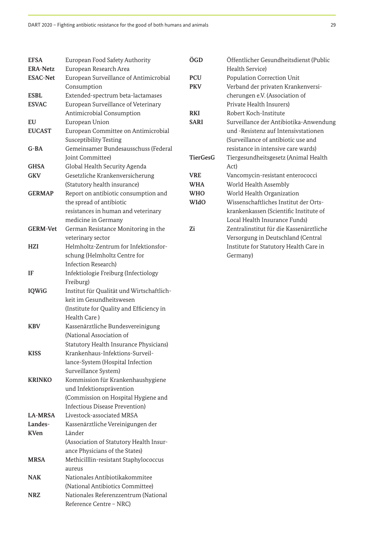Reference Centre – NRC)

| <b>EFSA</b>     | European Food Safety Authority            | ÖGD             | Öffentlicher Gesundheitsdienst (Public  |
|-----------------|-------------------------------------------|-----------------|-----------------------------------------|
| <b>ERA-Netz</b> | European Research Area                    |                 | Health Service)                         |
| <b>ESAC-Net</b> | European Surveillance of Antimicrobial    | <b>PCU</b>      | Population Correction Unit              |
|                 | Consumption                               | <b>PKV</b>      | Verband der privaten Krankenversi-      |
| <b>ESBL</b>     | Extended-spectrum beta-lactamases         |                 | cherungen e.V. (Association of          |
| <b>ESVAC</b>    | European Surveillance of Veterinary       |                 | Private Health Insurers)                |
|                 | Antimicrobial Consumption                 | <b>RKI</b>      | Robert Koch-Institute                   |
| EU              | European Union                            | <b>SARI</b>     | Surveillance der Antibiotika-Anwendung  |
| <b>EUCAST</b>   | European Committee on Antimicrobial       |                 | und -Resistenz auf Intensivstationen    |
|                 | <b>Susceptibility Testing</b>             |                 | (Surveillance of antibiotic use and     |
| $G$ -BA         | Gemeinsamer Bundesausschuss (Federal      |                 | resistance in intensive care wards)     |
|                 | Joint Committee)                          | <b>TierGesG</b> | Tiergesundheitsgesetz (Animal Health    |
| <b>GHSA</b>     | Global Health Security Agenda             |                 | Act)                                    |
| <b>GKV</b>      | Gesetzliche Krankenversicherung           | <b>VRE</b>      | Vancomycin-resistant enterococci        |
|                 | (Statutory health insurance)              | <b>WHA</b>      | World Health Assembly                   |
| <b>GERMAP</b>   | Report on antibiotic consumption and      | <b>WHO</b>      | World Health Organization               |
|                 | the spread of antibiotic                  | <b>WIdO</b>     | Wissenschaftliches Institut der Orts-   |
|                 | resistances in human and veterinary       |                 | krankenkassen (Scientific Institute of  |
|                 | medicine in Germany                       |                 | Local Health Insurance Funds)           |
| <b>GERM-Vet</b> | German Resistance Monitoring in the       | Zi              | Zentralinstitut für die Kassenärztliche |
|                 | veterinary sector                         |                 | Versorgung in Deutschland (Central      |
| <b>HZI</b>      | Helmholtz-Zentrum for Infektionsfor-      |                 | Institute for Statutory Health Care in  |
|                 | schung (Helmholtz Centre for              |                 | Germany)                                |
|                 | Infection Research)                       |                 |                                         |
| IF              | Infektiologie Freiburg (Infectiology      |                 |                                         |
|                 | Freiburg)                                 |                 |                                         |
| <b>IQWiG</b>    | Institut für Qualität und Wirtschaftlich- |                 |                                         |
|                 | keit im Gesundheitswesen                  |                 |                                         |
|                 | (Institute for Quality and Efficiency in  |                 |                                         |
|                 | Health Care)                              |                 |                                         |
| <b>KBV</b>      | Kassenärztliche Bundesvereinigung         |                 |                                         |
|                 | (National Association of                  |                 |                                         |
|                 | Statutory Health Insurance Physicians)    |                 |                                         |
| <b>KISS</b>     | Krankenhaus-Infektions-Surveil-           |                 |                                         |
|                 | lance-System (Hospital Infection          |                 |                                         |
|                 | Surveillance System)                      |                 |                                         |
| <b>KRINKO</b>   | Kommission für Krankenhaushygiene         |                 |                                         |
|                 | und Infektionsprävention                  |                 |                                         |
|                 | (Commission on Hospital Hygiene and       |                 |                                         |
|                 | Infectious Disease Prevention)            |                 |                                         |
| <b>LA-MRSA</b>  | Livestock-associated MRSA                 |                 |                                         |
| Landes-         | Kassenärztliche Vereinigungen der         |                 |                                         |
| <b>KVen</b>     | Länder                                    |                 |                                         |
|                 | (Association of Statutory Health Insur-   |                 |                                         |
|                 | ance Physicians of the States)            |                 |                                         |
| <b>MRSA</b>     | Methicilllin-resistant Staphylococcus     |                 |                                         |
|                 | aureus                                    |                 |                                         |
| <b>NAK</b>      | Nationales Antibiotikakommitee            |                 |                                         |
|                 | (National Antibiotics Committee)          |                 |                                         |
| <b>NRZ</b>      | Nationales Referenzzentrum (National      |                 |                                         |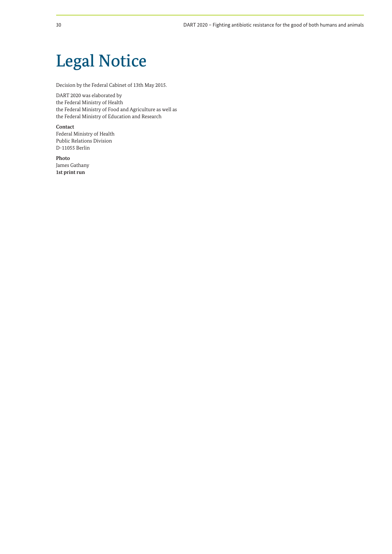# Legal Notice

Decision by the Federal Cabinet of 13th May 2015.

DART 2020 was elaborated by the Federal Ministry of Health the Federal Ministry of Food and Agriculture as well as the Federal Ministry of Education and Research

**Contact**  Federal Ministry of Health Public Relations Division D-11055 Berlin

**Photo**  James Gathany **1st print run**